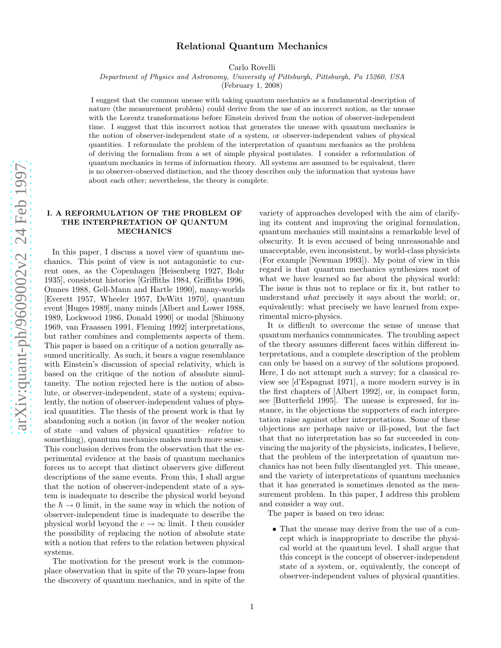# Relational Quantum Mechanics

Carlo Rovelli

Department of Physics and Astronomy, University of Pittsburgh, Pittsburgh, Pa 15260, USA

(February 1, 2008)

I suggest that the common unease with taking quantum mechanics as a fundamental description of nature (the measurement problem) could derive from the use of an incorrect notion, as the unease with the Lorentz transformations before Einstein derived from the notion of observer-independent time. I suggest that this incorrect notion that generates the unease with quantum mechanics is the notion of observer-independent state of a system, or observer-independent values of physical quantities. I reformulate the problem of the interpretation of quantum mechanics as the problem of deriving the formalism from a set of simple physical postulates. I consider a reformulation of quantum mechanics in terms of information theory. All systems are assumed to be equivalent, there is no observer-observed distinction, and the theory describes only the information that systems have about each other; nevertheless, the theory is complete.

# I. A REFORMULATION OF THE PROBLEM OF THE INTERPRETATION OF QUANTUM MECHANICS

In this paper, I discuss a novel view of quantum mechanics. This point of view is not antagonistic to current ones, as the Copenhagen [Heisenberg 1927, Bohr 1935], consistent histories [Griffiths 1984, Griffiths 1996, Omnes 1988, Gell-Mann and Hartle 1990], many-worlds [Everett 1957, Wheeler 1957, DeWitt 1970], quantum event [Huges 1989], many minds [Albert and Lower 1988, 1989, Lockwood 1986, Donald 1990] or modal [Shimony 1969, van Fraassen 1991, Fleming 1992] interpretations, but rather combines and complements aspects of them. This paper is based on a critique of a notion generally assumed uncritically. As such, it bears a vague resemblance with Einstein's discussion of special relativity, which is based on the critique of the notion of absolute simultaneity. The notion rejected here is the notion of absolute, or observer-independent, state of a system; equivalently, the notion of observer-independent values of physical quantities. The thesis of the present work is that by abandoning such a notion (in favor of the weaker notion of state –and values of physical quantities– *relative* to something), quantum mechanics makes much more sense. This conclusion derives from the observation that the experimental evidence at the basis of quantum mechanics forces us to accept that distinct observers give different descriptions of the same events. From this, I shall argue that the notion of observer-independent state of a system is inadequate to describe the physical world beyond the  $\hbar \to 0$  limit, in the same way in which the notion of observer-independent time is inadequate to describe the physical world beyond the  $c \to \infty$  limit. I then consider the possibility of replacing the notion of absolute state with a notion that refers to the relation between physical systems.

The motivation for the present work is the commonplace observation that in spite of the 70 years-lapse from the discovery of quantum mechanics, and in spite of the

variety of approaches developed with the aim of clarifying its content and improving the original formulation, quantum mechanics still maintains a remarkable level of obscurity. It is even accused of being unreasonable and unacceptable, even inconsistent, by world-class physicists (For example [Newman 1993]). My point of view in this regard is that quantum mechanics synthesizes most of what we have learned so far about the physical world: The issue is thus not to replace or fix it, but rather to understand *what* precisely it says about the world; or, equivalently: what precisely we have learned from experimental micro-physics.

It *is* difficult to overcome the sense of unease that quantum mechanics communicates. The troubling aspect of the theory assumes different faces within different interpretations, and a complete description of the problem can only be based on a survey of the solutions proposed. Here, I do not attempt such a survey; for a classical review see [d'Espagnat 1971], a more modern survey is in the first chapters of [Albert 1992], or, in compact form, see [Butterfield 1995]. The unease is expressed, for instance, in the objections the supporters of each interpretation raise against other interpretations. Some of these objections are perhaps naive or ill-posed, but the fact that that no interpretation has so far succeeded in convincing the majority of the physicists, indicates, I believe, that the problem of the interpretation of quantum mechanics has not been fully disentangled yet. This unease, and the variety of interpretations of quantum mechanics that it has generated is sometimes denoted as the measurement problem. In this paper, I address this problem and consider a way out.

The paper is based on two ideas:

• That the unease may derive from the use of a concept which is inappropriate to describe the physical world at the quantum level. I shall argue that this concept is the concept of observer-independent state of a system, or, equivalently, the concept of observer-independent values of physical quantities.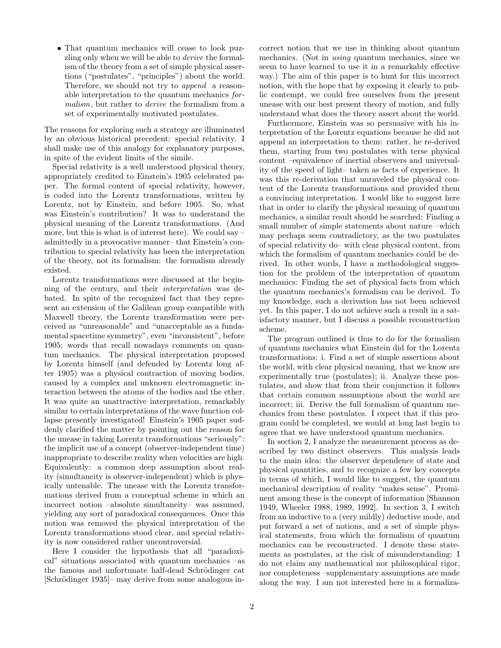• That quantum mechanics will cease to look puzzling only when we will be able to *derive* the formalism of the theory from a set of simple physical assertions ("postulates", "principles") about the world. Therefore, we should not try to *append* a reasonable interpretation to the quantum mechanics *formalism*, but rather to *derive* the formalism from a set of experimentally motivated postulates.

The reasons for exploring such a strategy are illuminated by an obvious historical precedent: special relativity. I shall make use of this analogy for explanatory purposes, in spite of the evident limits of the simile.

Special relativity is a well understood physical theory, appropriately credited to Einstein's 1905 celebrated paper. The formal content of special relativity, however, is coded into the Lorentz transformations, written by Lorentz, not by Einstein, and before 1905. So, what was Einstein's contribution? It was to understand the physical meaning of the Lorentz transformations. (And more, but this is what is of interest here). We could say – admittedly in a provocative manner– that Einstein's contribution to special relativity has been the interpretation of the theory, not its formalism: the formalism already existed.

Lorentz transformations were discussed at the beginning of the century, and their *interpretation* was debated. In spite of the recognized fact that they represent an extension of the Galilean group compatible with Maxwell theory, the Lorentz transformation were perceived as "unreasonable" and "unacceptable as a fundamental spacetime symmetry", even "inconsistent", before 1905; words that recall nowadays comments on quantum mechanics. The physical interpretation proposed by Lorentz himself (and defended by Lorentz long after 1905) was a physical contraction of moving bodies, caused by a complex and unknown electromagnetic interaction between the atoms of the bodies and the ether. It was quite an unattractive interpretation, remarkably similar to certain interpretations of the wave function collapse presently investigated! Einstein's 1905 paper suddenly clarified the matter by pointing out the reason for the unease in taking Lorentz transformations "seriously": the implicit use of a concept (observer-independent time) inappropriate to describe reality when velocities are high. Equivalently: a common deep assumption about reality (simultaneity is observer-independent) which is physically untenable. The unease with the Lorentz transformations derived from a conceptual scheme in which an incorrect notion –absolute simultaneity– was assumed, yielding any sort of paradoxical consequences. Once this notion was removed the physical interpretation of the Lorentz transformations stood clear, and special relativity is now considered rather uncontroversial.

Here I consider the hypothesis that all "paradoxical" situations associated with quantum mechanics –as the famous and unfortunate half-dead Schrödinger cat [Schrödinger 1935]– may derive from some analogous incorrect notion that we use in thinking about quantum mechanics. (Not in *using* quantum mechanics, since we seem to have learned to use it in a remarkably effective way.) The aim of this paper is to hunt for this incorrect notion, with the hope that by exposing it clearly to public contempt, we could free ourselves from the present unease with our best present theory of motion, and fully understand what does the theory assert about the world.

Furthermore, Einstein was so persuasive with his interpretation of the Lorentz equations because he did not append an interpretation to them: rather, he re-derived them, starting from two postulates with terse physical content –equivalence of inertial observers and universality of the speed of light– taken as facts of experience. It was this re-derivation that unraveled the physical content of the Lorentz transformations and provided them a convincing interpretation. I would like to suggest here that in order to clarify the physical meaning of quantum mechanics, a similar result should be searched: Finding a small number of simple statements about nature –which may perhaps seem contradictory, as the two postulates of special relativity do– with clear physical content, from which the formalism of quantum mechanics could be derived. In other words, I have a methodological suggestion for the problem of the interpretation of quantum mechanics: Finding the set of physical facts from which the quantum mechanics's formalism can be derived. To my knowledge, such a derivation has not been achieved yet. In this paper, I do not achieve such a result in a satisfactory manner, but I discuss a possible reconstruction scheme.

The program outlined is thus to do for the formalism of quantum mechanics what Einstein did for the Lorentz transformations: i. Find a set of simple assertions about the world, with clear physical meaning, that we know are experimentally true (postulates); ii. Analyze these postulates, and show that from their conjunction it follows that certain common assumptions about the world are incorrect; iii. Derive the full formalism of quantum mechanics from these postulates. I expect that if this program could be completed, we would at long last begin to agree that we have understood quantum mechanics.

In section 2, I analyze the measurement process as described by two distinct observers. This analysis leads to the main idea: the observer dependence of state and physical quantities, and to recognize a few key concepts in terms of which, I would like to suggest, the quantum mechanical description of reality "makes sense". Prominent among these is the concept of information [Shannon 1949, Wheeler 1988, 1989, 1992]. In section 3, I switch from an inductive to a (very mildly) deductive mode, and put forward a set of notions, and a set of simple physical statements, from which the formalism of quantum mechanics can be reconstructed. I denote these statements as postulates, at the risk of misunderstanding: I do not claim any mathematical nor philosophical rigor, nor completeness –supplementary assumptions are made along the way. I am not interested here in a formaliza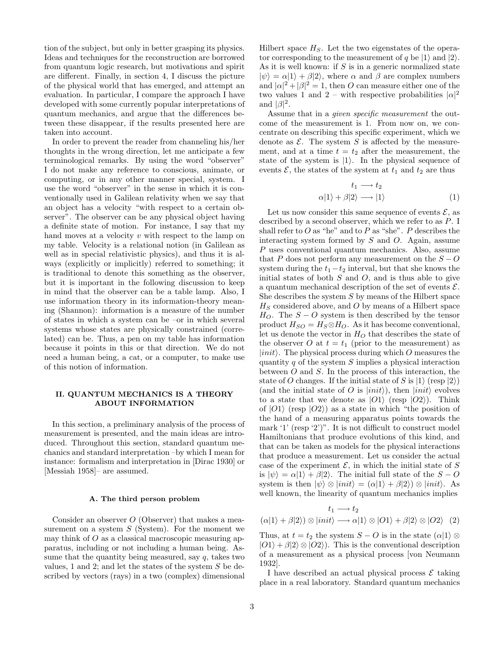tion of the subject, but only in better grasping its physics. Ideas and techniques for the reconstruction are borrowed from quantum logic research, but motivations and spirit are different. Finally, in section 4, I discuss the picture of the physical world that has emerged, and attempt an evaluation. In particular, I compare the approach I have developed with some currently popular interpretations of quantum mechanics, and argue that the differences between these disappear, if the results presented here are taken into account.

In order to prevent the reader from channeling his/her thoughts in the wrong direction, let me anticipate a few terminological remarks. By using the word "observer" I do not make any reference to conscious, animate, or computing, or in any other manner special, system. I use the word "observer" in the sense in which it is conventionally used in Galilean relativity when we say that an object has a velocity "with respect to a certain observer". The observer can be any physical object having a definite state of motion. For instance, I say that my hand moves at a velocity v with respect to the lamp on my table. Velocity is a relational notion (in Galilean as well as in special relativistic physics), and thus it is always (explicitly or implicitly) referred to something; it is traditional to denote this something as the observer, but it is important in the following discussion to keep in mind that the observer can be a table lamp. Also, I use information theory in its information-theory meaning (Shannon): information is a measure of the number of states in which a system can be –or in which several systems whose states are physically constrained (correlated) can be. Thus, a pen on my table has information because it points in this or that direction. We do not need a human being, a cat, or a computer, to make use of this notion of information.

# II. QUANTUM MECHANICS IS A THEORY ABOUT INFORMATION

In this section, a preliminary analysis of the process of measurement is presented, and the main ideas are introduced. Throughout this section, standard quantum mechanics and standard interpretation –by which I mean for instance: formalism and interpretation in [Dirac 1930] or [Messiah 1958]– are assumed.

# A. The third person problem

Consider an observer O (Observer) that makes a measurement on a system  $S$  (System). For the moment we may think of  $O$  as a classical macroscopic measuring apparatus, including or not including a human being. Assume that the quantity being measured, say  $q$ , takes two values, 1 and 2; and let the states of the system  $S$  be described by vectors (rays) in a two (complex) dimensional Hilbert space  $H<sub>S</sub>$ . Let the two eigenstates of the operator corresponding to the measurement of q be  $|1\rangle$  and  $|2\rangle$ . As it is well known: if  $S$  is in a generic normalized state  $|\psi\rangle = \alpha |1\rangle + \beta |2\rangle$ , where  $\alpha$  and  $\beta$  are complex numbers and  $|\alpha|^2 + |\beta|^2 = 1$ , then O can measure either one of the two values 1 and 2 – with respective probabilities  $|\alpha|^2$ and  $|\beta|^2$ .

Assume that in a *given specific measurement* the outcome of the measurement is 1. From now on, we concentrate on describing this specific experiment, which we denote as  $\mathcal E$ . The system S is affected by the measurement, and at a time  $t = t_2$  after the measurement, the state of the system is  $|1\rangle$ . In the physical sequence of events  $\mathcal{E}$ , the states of the system at  $t_1$  and  $t_2$  are thus

$$
t_1 \longrightarrow t_2
$$
  
\n
$$
\alpha|1\rangle + \beta|2\rangle \longrightarrow |1\rangle
$$
\n(1)

Let us now consider this same sequence of events  $\mathcal{E}$ , as described by a second observer, which we refer to as P. I shall refer to O as "he" and to P as "she". P describes the interacting system formed by  $S$  and  $O$ . Again, assume P uses conventional quantum mechanics. Also, assume that P does not perform any measurement on the  $S - O$ system during the  $t_1-t_2$  interval, but that she knows the initial states of both  $S$  and  $O$ , and is thus able to give a quantum mechanical description of the set of events  $\mathcal{E}$ . She describes the system  $S$  by means of the Hilbert space  $H<sub>S</sub>$  considered above, and O by means of a Hilbert space  $H_O$ . The  $S - O$  system is then described by the tensor product  $H_{SO} = H_S \otimes H_O$ . As it has become conventional, let us denote the vector in  $H_O$  that describes the state of the observer O at  $t = t_1$  (prior to the measurement) as  $|init\rangle$ . The physical process during which O measures the quantity q of the system  $S$  implies a physical interaction between  $O$  and  $S$ . In the process of this interaction, the state of O changes. If the initial state of S is  $|1\rangle$  (resp  $|2\rangle$ ) (and the initial state of O is  $\langle init \rangle$ ), then  $\langle init \rangle$  evolves to a state that we denote as  $|O1\rangle$  (resp  $|O2\rangle$ ). Think of  $|O1\rangle$  (resp  $|O2\rangle$ ) as a state in which "the position of the hand of a measuring apparatus points towards the mark '1' (resp '2')". It is not difficult to construct model Hamiltonians that produce evolutions of this kind, and that can be taken as models for the physical interactions that produce a measurement. Let us consider the actual case of the experiment  $\mathcal{E}$ , in which the initial state of S is  $|\psi\rangle = \alpha|1\rangle + \beta|2\rangle$ . The initial full state of the  $S - O$ system is then  $|\psi\rangle \otimes |init\rangle = (\alpha|1\rangle + \beta|2\rangle) \otimes |init\rangle$ . As well known, the linearity of quantum mechanics implies

$$
t_1 \longrightarrow t_2
$$
  

$$
(\alpha|1\rangle + \beta|2\rangle) \otimes |init\rangle \longrightarrow \alpha|1\rangle \otimes |01\rangle + \beta|2\rangle \otimes |02\rangle \quad (2)
$$

Thus, at  $t = t_2$  the system  $S - O$  is in the state  $(\alpha | 1 \rangle \otimes$  $|O1\rangle + \beta|2\rangle \otimes |O2\rangle$ . This is the conventional description of a measurement as a physical process [von Neumann 1932].

I have described an actual physical process  $\mathcal E$  taking place in a real laboratory. Standard quantum mechanics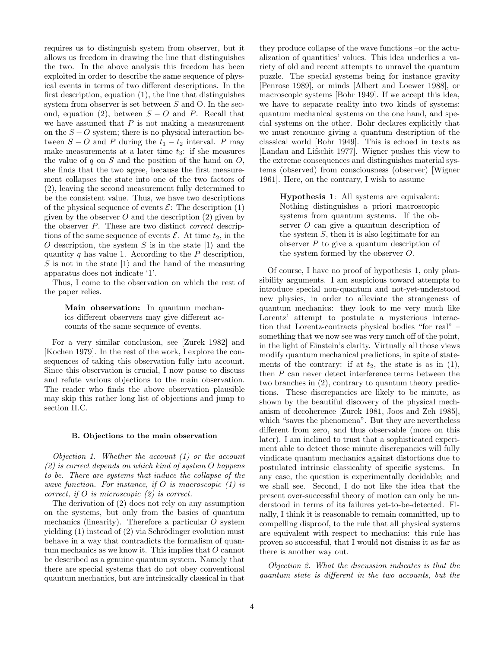requires us to distinguish system from observer, but it allows us freedom in drawing the line that distinguishes the two. In the above analysis this freedom has been exploited in order to describe the same sequence of physical events in terms of two different descriptions. In the first description, equation (1), the line that distinguishes system from observer is set between S and O. In the second, equation (2), between  $S - O$  and P. Recall that we have assumed that  $P$  is not making a measurement on the  $S - O$  system; there is no physical interaction between  $S - O$  and P during the  $t_1 - t_2$  interval. P may make measurements at a later time  $t_3$ : if she measures the value of  $q$  on  $S$  and the position of the hand on  $O$ , she finds that the two agree, because the first measurement collapses the state into one of the two factors of (2), leaving the second measurement fully determined to be the consistent value. Thus, we have two descriptions of the physical sequence of events  $\mathcal{E}$ : The description (1) given by the observer  $O$  and the description  $(2)$  given by the observer P. These are two distinct *correct* descriptions of the same sequence of events  $\mathcal{E}$ . At time  $t_2$ , in the O description, the system S is in the state  $|1\rangle$  and the quantity q has value 1. According to the  $P$  description, S is not in the state  $|1\rangle$  and the hand of the measuring apparatus does not indicate '1'.

Thus, I come to the observation on which the rest of the paper relies.

Main observation: In quantum mechanics different observers may give different accounts of the same sequence of events.

For a very similar conclusion, see [Zurek 1982] and [Kochen 1979]. In the rest of the work, I explore the consequences of taking this observation fully into account. Since this observation is crucial, I now pause to discuss and refute various objections to the main observation. The reader who finds the above observation plausible may skip this rather long list of objections and jump to section II.C.

#### B. Objections to the main observation

*Objection 1. Whether the account (1) or the account (2) is correct depends on which kind of system* O *happens to be. There are systems that induce the collapse of the wave function. For instance, if* O *is macroscopic (1) is correct, if* O *is microscopic (2) is correct.*

The derivation of (2) does not rely on any assumption on the systems, but only from the basics of quantum mechanics (linearity). Therefore a particular  $O$  system yielding  $(1)$  instead of  $(2)$  via Schrödinger evolution must behave in a way that contradicts the formalism of quantum mechanics as we know it. This implies that O cannot be described as a genuine quantum system. Namely that there are special systems that do not obey conventional quantum mechanics, but are intrinsically classical in that

they produce collapse of the wave functions –or the actualization of quantities' values. This idea underlies a variety of old and recent attempts to unravel the quantum puzzle. The special systems being for instance gravity [Penrose 1989], or minds [Albert and Loewer 1988], or macroscopic systems [Bohr 1949]. If we accept this idea, we have to separate reality into two kinds of systems: quantum mechanical systems on the one hand, and special systems on the other. Bohr declares explicitly that we must renounce giving a quantum description of the classical world [Bohr 1949]. This is echoed in texts as [Landau and Lifschit 1977]. Wigner pushes this view to the extreme consequences and distinguishes material systems (observed) from consciousness (observer) [Wigner 1961]. Here, on the contrary, I wish to assume

Hypothesis 1: All systems are equivalent: Nothing distinguishes a priori macroscopic systems from quantum systems. If the observer O can give a quantum description of the system  $S$ , then it is also legitimate for an observer  $P$  to give a quantum description of the system formed by the observer O.

Of course, I have no proof of hypothesis 1, only plausibility arguments. I am suspicious toward attempts to introduce special non-quantum and not-yet-understood new physics, in order to alleviate the strangeness of quantum mechanics: they look to me very much like Lorentz' attempt to postulate a mysterious interaction that Lorentz-contracts physical bodies "for real" – something that we now see was very much off of the point, in the light of Einstein's clarity. Virtually all those views modify quantum mechanical predictions, in spite of statements of the contrary: if at  $t_2$ , the state is as in (1), then  $P$  can never detect interference terms between the two branches in (2), contrary to quantum theory predictions. These discrepancies are likely to be minute, as shown by the beautiful discovery of the physical mechanism of decoherence [Zurek 1981, Joos and Zeh 1985], which "saves the phenomena". But they are nevertheless different from zero, and thus observable (more on this later). I am inclined to trust that a sophisticated experiment able to detect those minute discrepancies will fully vindicate quantum mechanics against distortions due to postulated intrinsic classicality of specific systems. In any case, the question is experimentally decidable; and we shall see. Second, I do not like the idea that the present over-successful theory of motion can only be understood in terms of its failures yet-to-be-detected. Finally, I think it is reasonable to remain committed, up to compelling disproof, to the rule that all physical systems are equivalent with respect to mechanics: this rule has proven so successful, that I would not dismiss it as far as there is another way out.

*Objection 2. What the discussion indicates is that the quantum state is different in the two accounts, but the*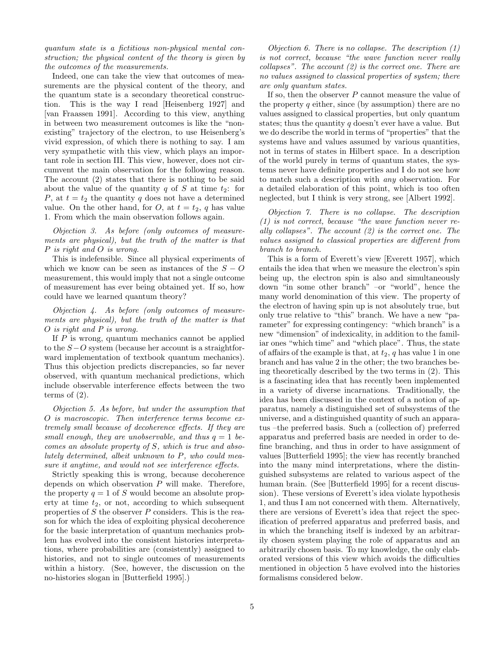*quantum state is a fictitious non-physical mental construction; the physical content of the theory is given by the outcomes of the measurements.*

Indeed, one can take the view that outcomes of measurements are the physical content of the theory, and the quantum state is a secondary theoretical construction. This is the way I read [Heisenberg 1927] and [van Fraassen 1991]. According to this view, anything in between two measurement outcomes is like the "nonexisting" trajectory of the electron, to use Heisenberg's vivid expression, of which there is nothing to say. I am very sympathetic with this view, which plays an important role in section III. This view, however, does not circumvent the main observation for the following reason. The account (2) states that there is nothing to be said about the value of the quantity  $q$  of  $S$  at time  $t_2$ : for P, at  $t = t_2$  the quantity q does not have a determined value. On the other hand, for O, at  $t = t_2$ , q has value 1. From which the main observation follows again.

*Objection 3. As before (only outcomes of measurements are physical), but the truth of the matter is that* P *is right and* O *is wrong.*

This is indefensible. Since all physical experiments of which we know can be seen as instances of the  $S - O$ measurement, this would imply that not a single outcome of measurement has ever being obtained yet. If so, how could have we learned quantum theory?

*Objection 4. As before (only outcomes of measurements are physical), but the truth of the matter is that* O *is right and P is wrong.*

If  $P$  is wrong, quantum mechanics cannot be applied to the S−O system (because her account is a straightforward implementation of textbook quantum mechanics). Thus this objection predicts discrepancies, so far never observed, with quantum mechanical predictions, which include observable interference effects between the two terms of (2).

*Objection 5. As before, but under the assumption that* O *is macroscopic. Then interference terms become extremely small because of decoherence effects. If they are* small enough, they are unobservable, and thus  $q = 1$  be*comes an absolute property of* S*, which is true and absolutely determined, albeit unknown to* P*, who could measure it anytime, and would not see interference effects.*

Strictly speaking this is wrong, because decoherence depends on which observation  $P$  will make. Therefore, the property  $q = 1$  of S would become an absolute property at time  $t_2$ , or not, according to which subsequent properties of  $S$  the observer  $P$  considers. This is the reason for which the idea of exploiting physical decoherence for the basic interpretation of quantum mechanics problem has evolved into the consistent histories interpretations, where probabilities are (consistently) assigned to histories, and not to single outcomes of measurements within a history. (See, however, the discussion on the no-histories slogan in [Butterfield 1995].)

*Objection 6. There is no collapse. The description (1) is not correct, because "the wave function never really collapses". The account (2) is the correct one. There are no values assigned to classical properties of system; there are only quantum states.*

If so, then the observer  $P$  cannot measure the value of the property  $q$  either, since (by assumption) there are no values assigned to classical properties, but only quantum states; thus the quantity  $q$  doesn't ever have a value. But we do describe the world in terms of "properties" that the systems have and values assumed by various quantities, not in terms of states in Hilbert space. In a description of the world purely in terms of quantum states, the systems never have definite properties and I do not see how to match such a description with *any* observation. For a detailed elaboration of this point, which is too often neglected, but I think is very strong, see [Albert 1992].

*Objection 7. There is no collapse. The description (1) is not correct, because "the wave function never really collapses". The account (2) is the correct one. The values assigned to classical properties are different from branch to branch.*

This is a form of Everett's view [Everett 1957], which entails the idea that when we measure the electron's spin being up, the electron spin is also and simultaneously down "in some other branch" –or "world", hence the many world denomination of this view. The property of the electron of having spin up is not absolutely true, but only true relative to "this" branch. We have a new "parameter" for expressing contingency: "which branch" is a new "dimension" of indexicality, in addition to the familiar ones "which time" and "which place". Thus, the state of affairs of the example is that, at  $t_2$ , q has value 1 in one branch and has value 2 in the other; the two branches being theoretically described by the two terms in (2). This is a fascinating idea that has recently been implemented in a variety of diverse incarnations. Traditionally, the idea has been discussed in the context of a notion of apparatus, namely a distinguished set of subsystems of the universe, and a distinguished quantity of such an apparatus –the preferred basis. Such a (collection of) preferred apparatus and preferred basis are needed in order to define branching, and thus in order to have assignment of values [Butterfield 1995]; the view has recently branched into the many mind interpretations, where the distinguished subsystems are related to various aspect of the human brain. (See [Butterfield 1995] for a recent discussion). These versions of Everett's idea violate hypothesis 1, and thus I am not concerned with them. Alternatively, there are versions of Everett's idea that reject the specification of preferred apparatus and preferred basis, and in which the branching itself is indexed by an arbitrarily chosen system playing the role of apparatus and an arbitrarily chosen basis. To my knowledge, the only elaborated versions of this view which avoids the difficulties mentioned in objection 5 have evolved into the histories formalisms considered below.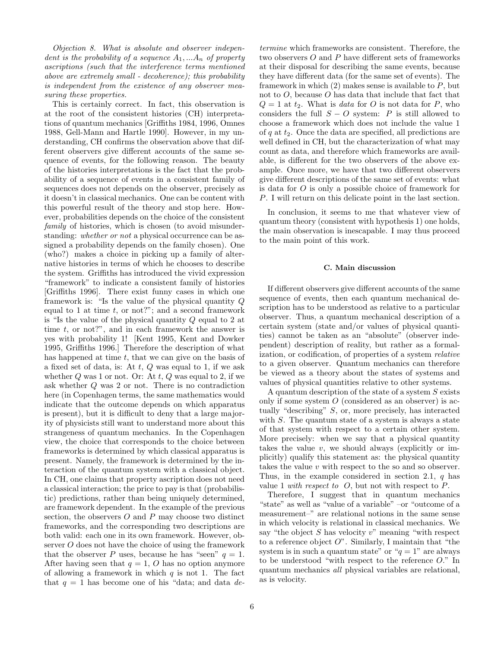*Objection 8. What is absolute and observer independent is the probability of a sequence* A1, ...A<sup>n</sup> *of property ascriptions (such that the interference terms mentioned above are extremely small - decoherence); this probability is independent from the existence of any observer measuring these properties.*

This is certainly correct. In fact, this observation is at the root of the consistent histories (CH) interpretations of quantum mechanics [Griffiths 1984, 1996, Omnes 1988, Gell-Mann and Hartle 1990]. However, in my understanding, CH confirms the observation above that different observers give different accounts of the same sequence of events, for the following reason. The beauty of the histories interpretations is the fact that the probability of a sequence of events in a consistent family of sequences does not depends on the observer, precisely as it doesn't in classical mechanics. One can be content with this powerful result of the theory and stop here. However, probabilities depends on the choice of the consistent *family* of histories, which is chosen (to avoid misunderstanding: *whether or not* a physical occurrence can be assigned a probability depends on the family chosen). One (who?) makes a choice in picking up a family of alternative histories in terms of which he chooses to describe the system. Griffiths has introduced the vivid expression "framework" to indicate a consistent family of histories [Griffiths 1996]. There exist funny cases in which one framework is: "Is the value of the physical quantity Q equal to 1 at time  $t$ , or not?"; and a second framework is "Is the value of the physical quantity Q equal to 2 at time  $t$ , or not?", and in each framework the answer is yes with probability 1! [Kent 1995, Kent and Dowker 1995, Griffiths 1996.] Therefore the description of what has happened at time  $t$ , that we can give on the basis of a fixed set of data, is: At  $t$ ,  $Q$  was equal to 1, if we ask whether  $Q$  was 1 or not. Or: At  $t$ ,  $Q$  was equal to 2, if we ask whether Q was 2 or not. There is no contradiction here (in Copenhagen terms, the same mathematics would indicate that the outcome depends on which apparatus is present), but it is difficult to deny that a large majority of physicists still want to understand more about this strangeness of quantum mechanics. In the Copenhagen view, the choice that corresponds to the choice between frameworks is determined by which classical apparatus is present. Namely, the framework is determined by the interaction of the quantum system with a classical object. In CH, one claims that property ascription does not need a classical interaction; the price to pay is that (probabilistic) predictions, rather than being uniquely determined, are framework dependent. In the example of the previous section, the observers  $O$  and  $P$  may choose two distinct frameworks, and the corresponding two descriptions are both valid: each one in its own framework. However, observer O does not have the choice of using the framework that the observer P uses, because he has "seen"  $q = 1$ . After having seen that  $q = 1, O$  has no option anymore of allowing a framework in which  $q$  is not 1. The fact that  $q = 1$  has become one of his "data; and data *de-*

*termine* which frameworks are consistent. Therefore, the two observers O and P have different sets of frameworks at their disposal for describing the same events, because they have different data (for the same set of events). The framework in which  $(2)$  makes sense is available to  $P$ , but not to  $O$ , because  $O$  has data that include that fact that  $Q = 1$  at  $t_2$ . What is *data* for O is not data for P, who considers the full  $S - O$  system: P is still allowed to choose a framework which does not include the value 1 of  $q$  at  $t_2$ . Once the data are specified, all predictions are well defined in CH, but the characterization of what may count as data, and therefore which frameworks are available, is different for the two observers of the above example. Once more, we have that two different observers give different descriptions of the same set of events: what is data for O is only a possible choice of framework for P. I will return on this delicate point in the last section.

In conclusion, it seems to me that whatever view of quantum theory (consistent with hypothesis 1) one holds, the main observation is inescapable. I may thus proceed to the main point of this work.

#### C. Main discussion

If different observers give different accounts of the same sequence of events, then each quantum mechanical description has to be understood as relative to a particular observer. Thus, a quantum mechanical description of a certain system (state and/or values of physical quantities) cannot be taken as an "absolute" (observer independent) description of reality, but rather as a formalization, or codification, of properties of a system *relative* to a given observer. Quantum mechanics can therefore be viewed as a theory about the states of systems and values of physical quantities relative to other systems.

A quantum description of the state of a system  $S$  exists only if some system  $O$  (considered as an observer) is actually "describing" S, or, more precisely, has interacted with  $S$ . The quantum state of a system is always a state of that system with respect to a certain other system. More precisely: when we say that a physical quantity takes the value  $v$ , we should always (explicitly or implicitly) qualify this statement as: the physical quantity takes the value  $v$  with respect to the so and so observer. Thus, in the example considered in section 2.1,  $q$  has value 1 *with respect to* O, but not with respect to P.

Therefore, I suggest that in quantum mechanics "state" as well as "value of a variable" –or "outcome of a measurement–" are relational notions in the same sense in which velocity is relational in classical mechanics. We say "the object  $S$  has velocity  $v$ " meaning "with respect to a reference object  $O$ ". Similarly, I maintain that "the system is in such a quantum state" or " $q = 1$ " are always to be understood "with respect to the reference O." In quantum mechanics *all* physical variables are relational, as is velocity.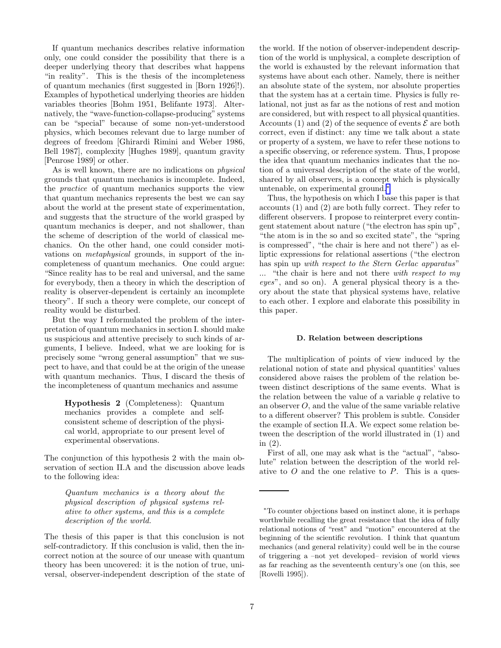If quantum mechanics describes relative information only, one could consider the possibility that there is a deeper underlying theory that describes what happens "in reality". This is the thesis of the incompleteness of quantum mechanics (first suggested in [Born 1926]!). Examples of hypothetical underlying theories are hidden variables theories [Bohm 1951, Belifante 1973]. Alternatively, the "wave-function-collapse-producing" systems can be "special" because of some non-yet-understood physics, which becomes relevant due to large number of degrees of freedom [Ghirardi Rimini and Weber 1986, Bell 1987], complexity [Hughes 1989], quantum gravity [Penrose 1989] or other.

As is well known, there are no indications on *physical* grounds that quantum mechanics is incomplete. Indeed, the *practice* of quantum mechanics supports the view that quantum mechanics represents the best we can say about the world at the present state of experimentation, and suggests that the structure of the world grasped by quantum mechanics is deeper, and not shallower, than the scheme of description of the world of classical mechanics. On the other hand, one could consider motivations on *metaphysical* grounds, in support of the incompleteness of quantum mechanics. One could argue: "Since reality has to be real and universal, and the same for everybody, then a theory in which the description of reality is observer-dependent is certainly an incomplete theory". If such a theory were complete, our concept of reality would be disturbed.

But the way I reformulated the problem of the interpretation of quantum mechanics in section I. should make us suspicious and attentive precisely to such kinds of arguments, I believe. Indeed, what we are looking for is precisely some "wrong general assumption" that we suspect to have, and that could be at the origin of the unease with quantum mechanics. Thus, I discard the thesis of the incompleteness of quantum mechanics and assume

Hypothesis 2 (Completeness): Quantum mechanics provides a complete and selfconsistent scheme of description of the physical world, appropriate to our present level of experimental observations.

The conjunction of this hypothesis 2 with the main observation of section II.A and the discussion above leads to the following idea:

> *Quantum mechanics is a theory about the physical description of physical systems relative to other systems, and this is a complete description of the world.*

The thesis of this paper is that this conclusion is not self-contradictory. If this conclusion is valid, then the incorrect notion at the source of our unease with quantum theory has been uncovered: it is the notion of true, universal, observer-independent description of the state of

the world. If the notion of observer-independent description of the world is unphysical, a complete description of the world is exhausted by the relevant information that systems have about each other. Namely, there is neither an absolute state of the system, nor absolute properties that the system has at a certain time. Physics is fully relational, not just as far as the notions of rest and motion are considered, but with respect to all physical quantities. Accounts (1) and (2) of the sequence of events  $\mathcal E$  are both correct, even if distinct: any time we talk about a state or property of a system, we have to refer these notions to a specific observing, or reference system. Thus, I propose the idea that quantum mechanics indicates that the notion of a universal description of the state of the world, shared by all observers, is a concept which is physically untenable, on experimental ground.<sup>∗</sup>

Thus, the hypothesis on which I base this paper is that accounts (1) and (2) are both fully correct. They refer to different observers. I propose to reinterpret every contingent statement about nature ("the electron has spin up", "the atom is in the so and so excited state", the "spring is compressed", "the chair is here and not there") as elliptic expressions for relational assertions ("the electron has spin up *with respect to the Stern Gerlac apparatus*" ... "the chair is here and not there *with respect to my eyes*", and so on). A general physical theory is a theory about the state that physical systems have, relative to each other. I explore and elaborate this possibility in this paper.

# D. Relation between descriptions

The multiplication of points of view induced by the relational notion of state and physical quantities' values considered above raises the problem of the relation between distinct descriptions of the same events. What is the relation between the value of a variable  $q$  relative to an observer  $O$ , and the value of the same variable relative to a different observer? This problem is subtle. Consider the example of section II.A. We expect some relation between the description of the world illustrated in (1) and in (2).

First of all, one may ask what is the "actual", "absolute" relation between the description of the world relative to  $O$  and the one relative to  $P$ . This is a ques-

<sup>∗</sup>To counter objections based on instinct alone, it is perhaps worthwhile recalling the great resistance that the idea of fully relational notions of "rest" and "motion" encountered at the beginning of the scientific revolution. I think that quantum mechanics (and general relativity) could well be in the course of triggering a –not yet developed– revision of world views as far reaching as the seventeenth century's one (on this, see [Rovelli 1995]).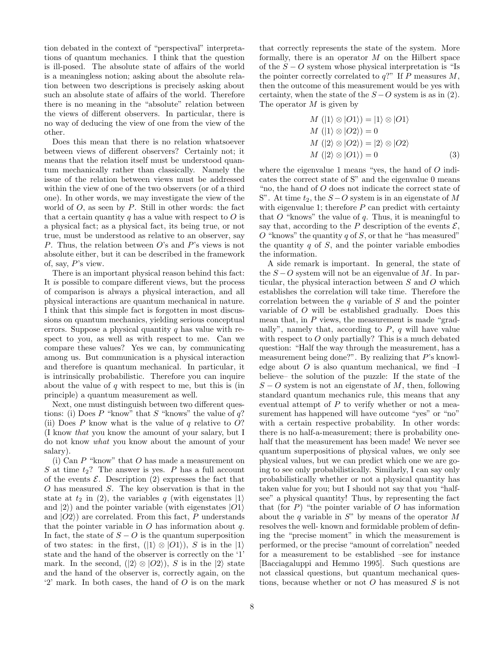tion debated in the context of "perspectival" interpretations of quantum mechanics. I think that the question is ill-posed. The absolute state of affairs of the world is a meaningless notion; asking about the absolute relation between two descriptions is precisely asking about such an absolute state of affairs of the world. Therefore there is no meaning in the "absolute" relation between the views of different observers. In particular, there is no way of deducing the view of one from the view of the other.

Does this mean that there is no relation whatsoever between views of different observers? Certainly not; it means that the relation itself must be understood quantum mechanically rather than classically. Namely the issue of the relation between views must be addressed within the view of one of the two observers (or of a third one). In other words, we may investigate the view of the world of  $O$ , as seen by  $P$ . Still in other words: the fact that a certain quantity q has a value with respect to  $\overline{O}$  is a physical fact; as a physical fact, its being true, or not true, must be understood as relative to an observer, say P. Thus, the relation between  $O$ 's and  $P$ 's views is not absolute either, but it can be described in the framework of, say, P's view.

There is an important physical reason behind this fact: It *is* possible to compare different views, but the process of comparison is always a physical interaction, and all physical interactions are quantum mechanical in nature. I think that this simple fact is forgotten in most discussions on quantum mechanics, yielding serious conceptual errors. Suppose a physical quantity  $q$  has value with respect to you, as well as with respect to me. Can we compare these values? Yes we can, by communicating among us. But communication is a physical interaction and therefore is quantum mechanical. In particular, it is intrinsically probabilistic. Therefore you can inquire about the value of  $q$  with respect to me, but this is (in principle) a quantum measurement as well.

Next, one must distinguish between two different questions: (i) Does  $P$  "know" that  $S$  "knows" the value of  $q$ ? (ii) Does P know what is the value of q relative to  $O$ ? (I know *that* you know the amount of your salary, but I do not know *what* you know about the amount of your salary).

(i) Can  $P$  "know" that  $O$  has made a measurement on S at time  $t_2$ ? The answer is yes. P has a full account of the events  $\mathcal{E}$ . Description (2) expresses the fact that O has measured S. The key observation is that in the state at  $t_2$  in (2), the variables q (with eigenstates  $|1\rangle$ and  $|2\rangle$ ) and the pointer variable (with eigenstates  $|O1\rangle$ and  $|O2\rangle$  are correlated. From this fact, P understands that the pointer variable in  $O$  has information about  $q$ . In fact, the state of  $S - O$  is the quantum superposition of two states: in the first,  $(|1\rangle \otimes |01\rangle)$ , S is in the  $|1\rangle$ state and the hand of the observer is correctly on the '1' mark. In the second,  $(|2\rangle \otimes |O2\rangle)$ , S is in the  $|2\rangle$  state and the hand of the observer is, correctly again, on the  $'2'$  mark. In both cases, the hand of  $O$  is on the mark

that correctly represents the state of the system. More formally, there is an operator  $M$  on the Hilbert space of the  $S - O$  system whose physical interpretation is "Is the pointer correctly correlated to  $q$ ?" If P measures M, then the outcome of this measurement would be yes with certainty, when the state of the  $S - O$  system is as in (2). The operator  $M$  is given by

$$
M(|1\rangle \otimes |O1\rangle) = |1\rangle \otimes |O1\rangle
$$
  
\n
$$
M(|1\rangle \otimes |O2\rangle) = 0
$$
  
\n
$$
M(|2\rangle \otimes |O2\rangle) = |2\rangle \otimes |O2\rangle
$$
  
\n
$$
M(|2\rangle \otimes |O1\rangle) = 0
$$
 (3)

where the eigenvalue 1 means "yes, the hand of  $O$  indicates the correct state of S" and the eigenvalue 0 means "no, the hand of O does not indicate the correct state of S". At time  $t_2$ , the  $S - O$  system is in an eigenstate of M with eigenvalue 1; therefore  $P$  can predict with certainty that  $O$  "knows" the value of  $q$ . Thus, it is meaningful to say that, according to the P description of the events  $\mathcal{E}$ ,  $O$  "knows" the quantity q of  $S$ , or that he "has measured" the quantity  $q$  of  $S$ , and the pointer variable embodies the information.

A side remark is important. In general, the state of the  $S - O$  system will not be an eigenvalue of M. In particular, the physical interaction between S and O which establishes the correlation will take time. Therefore the correlation between the  $q$  variable of  $S$  and the pointer variable of O will be established gradually. Does this mean that, in  $P$  views, the measurement is made "gradually", namely that, according to  $P$ ,  $q$  will have value with respect to  $O$  only partially? This is a much debated question: "Half the way through the measurement, has a measurement being done?". By realizing that P's knowledge about O is also quantum mechanical, we find  $-I$ believe– the solution of the puzzle: If the state of the  $S - O$  system is not an eigenstate of M, then, following standard quantum mechanics rule, this means that any eventual attempt of  $P$  to verify whether or not a measurement has happened will have outcome "yes" or "no" with a certain respective probability. In other words: there is no half-a-measurement; there is probability onehalf that the measurement has been made! We never see quantum superpositions of physical values, we only see physical values, but we can predict which one we are going to see only probabilistically. Similarly, I can say only probabilistically whether or not a physical quantity has taken value for you; but I should not say that you "halfsee" a physical quantity! Thus, by representing the fact that (for  $P$ ) "the pointer variable of  $O$  has information about the q variable in  $S$ " by means of the operator M resolves the well- known and formidable problem of defining the "precise moment" in which the measurement is performed, or the precise "amount of correlation" needed for a measurement to be established –see for instance [Bacciagaluppi and Hemmo 1995]. Such questions are not classical questions, but quantum mechanical questions, because whether or not  $O$  has measured  $S$  is not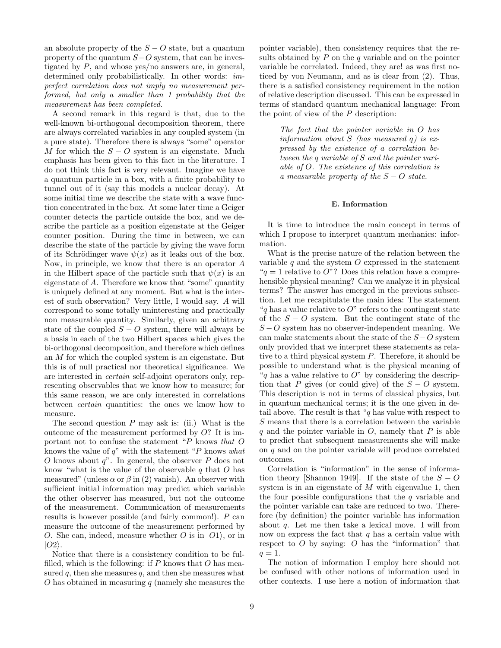an absolute property of the  $S - O$  state, but a quantum property of the quantum  $S-O$  system, that can be investigated by  $P$ , and whose yes/no answers are, in general, determined only probabilistically. In other words: *imperfect correlation does not imply no measurement performed, but only a smaller than 1 probability that the measurement has been completed.*

A second remark in this regard is that, due to the well-known bi-orthogonal decomposition theorem, there are always correlated variables in any coupled system (in a pure state). Therefore there is always "some" operator M for which the  $S - O$  system is an eigenstate. Much emphasis has been given to this fact in the literature. I do not think this fact is very relevant. Imagine we have a quantum particle in a box, with a finite probability to tunnel out of it (say this models a nuclear decay). At some initial time we describe the state with a wave function concentrated in the box. At some later time a Geiger counter detects the particle outside the box, and we describe the particle as a position eigenstate at the Geiger counter position. During the time in between, we can describe the state of the particle by giving the wave form of its Schrödinger wave  $\psi(x)$  as it leaks out of the box. Now, in principle, we know that there is an operator A in the Hilbert space of the particle such that  $\psi(x)$  is an eigenstate of A. Therefore we know that "some" quantity is uniquely defined at any moment. But what is the interest of such observation? Very little, I would say. A will correspond to some totally uninteresting and practically non measurable quantity. Similarly, given an arbitrary state of the coupled  $S - O$  system, there will always be a basis in each of the two Hilbert spaces which gives the bi-orthogonal decomposition, and therefore which defines an M for which the coupled system is an eigenstate. But this is of null practical nor theoretical significance. We are interested in *certain* self-adjoint operators only, representing observables that we know how to measure; for this same reason, we are only interested in correlations between *certain* quantities: the ones we know how to measure.

The second question  $P$  may ask is: (ii.) What is the outcome of the measurement performed by  $O$ ? It is important not to confuse the statement "P knows *that* O knows the value of q" with the statement "P knows *what* O knows about  $q$ ". In general, the observer P does not know "what is the value of the observable q that  $O$  has measured" (unless  $\alpha$  or  $\beta$  in (2) vanish). An observer with sufficient initial information may predict which variable the other observer has measured, but not the outcome of the measurement. Communication of measurements results is however possible (and fairly common!). P can measure the outcome of the measurement performed by O. She can, indeed, measure whether O is in  $|O1\rangle$ , or in  $|O2\rangle$ .

Notice that there is a consistency condition to be fulfilled, which is the following: if  $P$  knows that  $O$  has measured  $q$ , then she measures  $q$ , and then she measures what  $O$  has obtained in measuring  $q$  (namely she measures the

pointer variable), then consistency requires that the results obtained by  $P$  on the  $q$  variable and on the pointer variable be correlated. Indeed, they are! as was first noticed by von Neumann, and as is clear from (2). Thus, there is a satisfied consistency requirement in the notion of relative description discussed. This can be expressed in terms of standard quantum mechanical language: From the point of view of the P description:

> *The fact that the pointer variable in* O *has information about* S *(has measured* q*) is expressed by the existence of a correlation between the* q *variable of* S *and the pointer variable of* O*. The existence of this correlation is a measurable property of the* S − O *state.*

#### E. Information

It is time to introduce the main concept in terms of which I propose to interpret quantum mechanics: information.

What is the precise nature of the relation between the variable  $q$  and the system  $O$  expressed in the statement " $q = 1$  relative to O"? Does this relation have a comprehensible physical meaning? Can we analyze it in physical terms? The answer has emerged in the previous subsection. Let me recapitulate the main idea: The statement "q has a value relative to  $O$ " refers to the contingent state of the  $S - O$  system. But the contingent state of the  $S - O$  system has no observer-independent meaning. We can make statements about the state of the  $S - O$  system only provided that we interpret these statements as relative to a third physical system P. Therefore, it should be possible to understand what is the physical meaning of "q has a value relative to  $O$ " by considering the description that P gives (or could give) of the  $S - O$  system. This description is not in terms of classical physics, but in quantum mechanical terms; it is the one given in detail above. The result is that "q has value with respect to S means that there is a correlation between the variable  $q$  and the pointer variable in  $O$ , namely that  $P$  is able to predict that subsequent measurements she will make on  $q$  and on the pointer variable will produce correlated outcomes.

Correlation is "information" in the sense of information theory [Shannon 1949]. If the state of the  $S - O$ system is in an eigenstate of  $M$  with eigenvalue 1, then the four possible configurations that the  $q$  variable and the pointer variable can take are reduced to two. Therefore (by definition) the pointer variable has information about  $q$ . Let me then take a lexical move. I will from now on express the fact that  $q$  has a certain value with respect to  $O$  by saying:  $O$  has the "information" that  $q=1.$ 

The notion of information I employ here should not be confused with other notions of information used in other contexts. I use here a notion of information that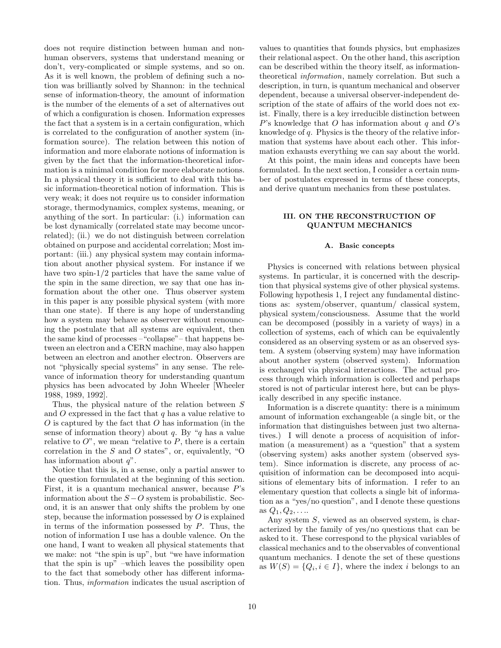does not require distinction between human and nonhuman observers, systems that understand meaning or don't, very-complicated or simple systems, and so on. As it is well known, the problem of defining such a notion was brilliantly solved by Shannon: in the technical sense of information-theory, the amount of information is the number of the elements of a set of alternatives out of which a configuration is chosen. Information expresses the fact that a system is in a certain configuration, which is correlated to the configuration of another system (information source). The relation between this notion of information and more elaborate notions of information is given by the fact that the information-theoretical information is a minimal condition for more elaborate notions. In a physical theory it is sufficient to deal with this basic information-theoretical notion of information. This is very weak; it does not require us to consider information storage, thermodynamics, complex systems, meaning, or anything of the sort. In particular: (i.) information can be lost dynamically (correlated state may become uncorrelated); (ii.) we do not distinguish between correlation obtained on purpose and accidental correlation; Most important: (iii.) any physical system may contain information about another physical system. For instance if we have two spin-1/2 particles that have the same value of the spin in the same direction, we say that one has information about the other one. Thus observer system in this paper is any possible physical system (with more than one state). If there is any hope of understanding how a system may behave as observer without renouncing the postulate that all systems are equivalent, then the same kind of processes –"collapse"– that happens between an electron and a CERN machine, may also happen between an electron and another electron. Observers are not "physically special systems" in any sense. The relevance of information theory for understanding quantum physics has been advocated by John Wheeler [Wheeler 1988, 1989, 1992].

Thus, the physical nature of the relation between S and  $O$  expressed in the fact that  $q$  has a value relative to  $O$  is captured by the fact that  $O$  has information (in the sense of information theory) about q. By "q has a value relative to  $O$ ", we mean "relative to  $P$ , there is a certain correlation in the  $S$  and  $O$  states", or, equivalently, "O has information about  $q$ ".

Notice that this is, in a sense, only a partial answer to the question formulated at the beginning of this section. First, it is a quantum mechanical answer, because P's information about the  $S - O$  system is probabilistic. Second, it is an answer that only shifts the problem by one step, because the information possessed by O is explained in terms of the information possessed by  $P$ . Thus, the notion of information I use has a double valence. On the one hand, I want to weaken all physical statements that we make: not "the spin is up", but "we have information that the spin is up" –which leaves the possibility open to the fact that somebody other has different information. Thus, *information* indicates the usual ascription of

values to quantities that founds physics, but emphasizes their relational aspect. On the other hand, this ascription can be described within the theory itself, as informationtheoretical *information*, namely correlation. But such a description, in turn, is quantum mechanical and observer dependent, because a universal observer-independent description of the state of affairs of the world does not exist. Finally, there is a key irreducible distinction between P's knowledge that O has information about q and  $O$ 's knowledge of q. Physics is the theory of the relative information that systems have about each other. This information exhausts everything we can say about the world.

At this point, the main ideas and concepts have been formulated. In the next section, I consider a certain number of postulates expressed in terms of these concepts, and derive quantum mechanics from these postulates.

# III. ON THE RECONSTRUCTION OF QUANTUM MECHANICS

#### A. Basic concepts

Physics is concerned with relations between physical systems. In particular, it is concerned with the description that physical systems give of other physical systems. Following hypothesis 1, I reject any fundamental distinctions as: system/observer, quantum/ classical system, physical system/consciousness. Assume that the world can be decomposed (possibly in a variety of ways) in a collection of systems, each of which can be equivalently considered as an observing system or as an observed system. A system (observing system) may have information about another system (observed system). Information is exchanged via physical interactions. The actual process through which information is collected and perhaps stored is not of particular interest here, but can be physically described in any specific instance.

Information is a discrete quantity: there is a minimum amount of information exchangeable (a single bit, or the information that distinguishes between just two alternatives.) I will denote a process of acquisition of information (a measurement) as a "question" that a system (observing system) asks another system (observed system). Since information is discrete, any process of acquisition of information can be decomposed into acquisitions of elementary bits of information. I refer to an elementary question that collects a single bit of information as a "yes/no question", and I denote these questions as  $Q_1, Q_2, \ldots$ 

Any system S, viewed as an observed system, is characterized by the family of yes/no questions that can be asked to it. These correspond to the physical variables of classical mechanics and to the observables of conventional quantum mechanics. I denote the set of these questions as  $W(S) = \{Q_i, i \in I\}$ , where the index i belongs to an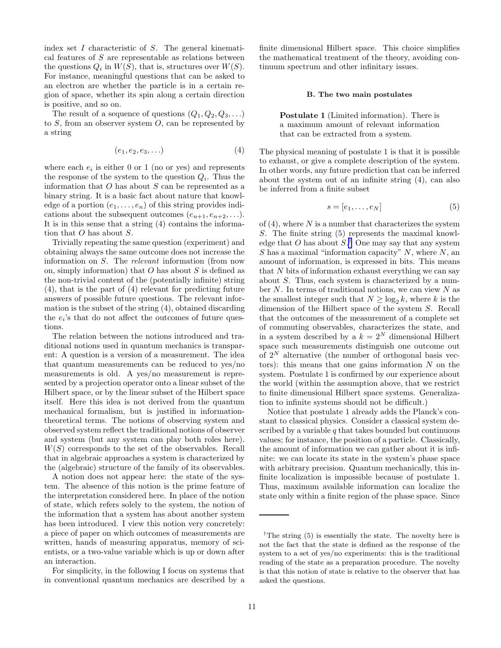index set I characteristic of S. The general kinematical features of  $S$  are representable as relations between the questions  $Q_i$  in  $W(S)$ , that is, structures over  $W(S)$ . For instance, meaningful questions that can be asked to an electron are whether the particle is in a certain region of space, whether its spin along a certain direction is positive, and so on.

The result of a sequence of questions  $(Q_1, Q_2, Q_3, \ldots)$ to  $S$ , from an observer system  $O$ , can be represented by a string

$$
(e_1, e_2, e_3, \ldots) \tag{4}
$$

where each  $e_i$  is either 0 or 1 (no or yes) and represents the response of the system to the question  $Q_i$ . Thus the information that  $O$  has about  $S$  can be represented as a binary string. It is a basic fact about nature that knowledge of a portion  $(e_1, \ldots, e_n)$  of this string provides indications about the subsequent outcomes  $(e_{n+1}, e_{n+2}, \ldots)$ . It is in this sense that a string (4) contains the information that  $O$  has about  $S$ .

Trivially repeating the same question (experiment) and obtaining always the same outcome does not increase the information on S. The *relevant* information (from now on, simply information) that  $O$  has about  $S$  is defined as the non-trivial content of the (potentially infinite) string (4), that is the part of (4) relevant for predicting future answers of possible future questions. The relevant information is the subset of the string (4), obtained discarding the  $e_i$ 's that do not affect the outcomes of future questions.

The relation between the notions introduced and traditional notions used in quantum mechanics is transparent: A question is a version of a measurement. The idea that quantum measurements can be reduced to yes/no measurements is old. A yes/no measurement is represented by a projection operator onto a linear subset of the Hilbert space, or by the linear subset of the Hilbert space itself. Here this idea is not derived from the quantum mechanical formalism, but is justified in informationtheoretical terms. The notions of observing system and observed system reflect the traditional notions of observer and system (but any system can play both roles here).  $W(S)$  corresponds to the set of the observables. Recall that in algebraic approaches a system is characterized by the (algebraic) structure of the family of its observables.

A notion does not appear here: the state of the system. The absence of this notion is the prime feature of the interpretation considered here. In place of the notion of state, which refers solely to the system, the notion of the information that a system has about another system has been introduced. I view this notion very concretely: a piece of paper on which outcomes of measurements are written, hands of measuring apparatus, memory of scientists, or a two-value variable which is up or down after an interaction.

For simplicity, in the following I focus on systems that in conventional quantum mechanics are described by a finite dimensional Hilbert space. This choice simplifies the mathematical treatment of the theory, avoiding continuum spectrum and other infinitary issues.

### B. The two main postulates

Postulate 1 (Limited information). There is a maximum amount of relevant information that can be extracted from a system.

The physical meaning of postulate 1 is that it is possible to exhaust, or give a complete description of the system. In other words, any future prediction that can be inferred about the system out of an infinite string (4), can also be inferred from a finite subset

$$
s = [e_1, \dots, e_N] \tag{5}
$$

of  $(4)$ , where N is a number that characterizes the system S. The finite string (5) represents the maximal knowledge that O has about  $S^{\dagger}$  One may say that any system S has a maximal "information capacity"  $N$ , where  $N$ , an amount of information, is expressed in bits. This means that  $N$  bits of information exhaust everything we can say about S. Thus, each system is characterized by a number  $N$ . In terms of traditional notions, we can view  $N$  as the smallest integer such that  $N \ge \log_2 k$ , where k is the dimension of the Hilbert space of the system S. Recall that the outcomes of the measurement of a complete set of commuting observables, characterizes the state, and in a system described by a  $k = 2^N$  dimensional Hilbert space such measurements distinguish one outcome out of  $2^N$  alternative (the number of orthogonal basis vectors): this means that one gains information  $N$  on the system. Postulate 1 is confirmed by our experience about the world (within the assumption above, that we restrict to finite dimensional Hilbert space systems. Generalization to infinite systems should not be difficult.)

Notice that postulate 1 already adds the Planck's constant to classical physics. Consider a classical system described by a variable  $q$  that takes bounded but continuous values; for instance, the position of a particle. Classically, the amount of information we can gather about it is infinite: we can locate its state in the system's phase space with arbitrary precision. Quantum mechanically, this infinite localization is impossible because of postulate 1. Thus, maximum available information can localize the state only within a finite region of the phase space. Since

<sup>&</sup>lt;sup>†</sup>The string  $(5)$  is essentially the state. The novelty here is not the fact that the state is defined as the response of the system to a set of yes/no experiments: this is the traditional reading of the state as a preparation procedure. The novelty is that this notion of state is relative to the observer that has asked the questions.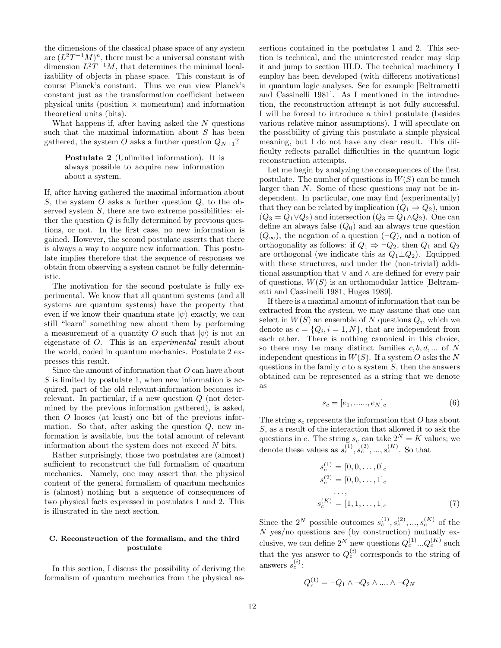the dimensions of the classical phase space of any system are  $(L^2T^{-1}M)^n$ , there must be a universal constant with dimension  $L^2T^{-1}M$ , that determines the minimal localizability of objects in phase space. This constant is of course Planck's constant. Thus we can view Planck's constant just as the transformation coefficient between physical units (position  $\times$  momentum) and information theoretical units (bits).

What happens if, after having asked the  $N$  questions such that the maximal information about  $S$  has been gathered, the system O asks a further question  $Q_{N+1}$ ?

Postulate 2 (Unlimited information). It is always possible to acquire new information about a system.

If, after having gathered the maximal information about S, the system  $O$  asks a further question  $Q$ , to the observed system  $S$ , there are two extreme possibilities: either the question  $Q$  is fully determined by previous questions, or not. In the first case, no new information is gained. However, the second postulate asserts that there is always a way to acquire new information. This postulate implies therefore that the sequence of responses we obtain from observing a system cannot be fully deterministic.

The motivation for the second postulate is fully experimental. We know that all quantum systems (and all systems are quantum systems) have the property that even if we know their quantum state  $|\psi\rangle$  exactly, we can still "learn" something new about them by performing a measurement of a quantity O such that  $|\psi\rangle$  is not an eigenstate of O. This is an *experimental* result about the world, coded in quantum mechanics. Postulate 2 expresses this result.

Since the amount of information that O can have about  $S$  is limited by postulate 1, when new information is acquired, part of the old relevant-information becomes irrelevant. In particular, if a new question Q (not determined by the previous information gathered), is asked, then O looses (at least) one bit of the previous information. So that, after asking the question  $Q$ , new information is available, but the total amount of relevant information about the system does not exceed  $N$  bits.

Rather surprisingly, those two postulates are (almost) sufficient to reconstruct the full formalism of quantum mechanics. Namely, one may assert that the physical content of the general formalism of quantum mechanics is (almost) nothing but a sequence of consequences of two physical facts expressed in postulates 1 and 2. This is illustrated in the next section.

# C. Reconstruction of the formalism, and the third postulate

In this section, I discuss the possibility of deriving the formalism of quantum mechanics from the physical assertions contained in the postulates 1 and 2. This section is technical, and the uninterested reader may skip it and jump to section III.D. The technical machinery I employ has been developed (with different motivations) in quantum logic analyses. See for example [Beltrametti and Cassinelli 1981]. As I mentioned in the introduction, the reconstruction attempt is not fully successful. I will be forced to introduce a third postulate (besides various relative minor assumptions). I will speculate on the possibility of giving this postulate a simple physical meaning, but I do not have any clear result. This difficulty reflects parallel difficulties in the quantum logic reconstruction attempts.

Let me begin by analyzing the consequences of the first postulate. The number of questions in  $W(S)$  can be much larger than N. Some of these questions may not be independent. In particular, one may find (experimentally) that they can be related by implication  $(Q_1 \Rightarrow Q_2)$ , union  $(Q_3 = Q_1 \vee Q_2)$  and intersection  $(Q_3 = Q_1 \wedge Q_2)$ . One can define an always false  $(Q_0)$  and an always true question  $(Q_{\infty})$ , the negation of a question  $(\neg Q)$ , and a notion of orthogonality as follows: if  $Q_1 \Rightarrow \neg Q_2$ , then  $Q_1$  and  $Q_2$ are orthogonal (we indicate this as  $Q_1 \perp Q_2$ ). Equipped with these structures, and under the (non-trivial) additional assumption that ∨ and ∧ are defined for every pair of questions,  $W(S)$  is an orthomodular lattice [Beltrametti and Cassinelli 1981, Huges 1989].

If there is a maximal amount of information that can be extracted from the system, we may assume that one can select in  $W(S)$  an ensemble of N questions  $Q_i$ , which we denote as  $c = \{Q_i, i = 1, N\}$ , that are independent from each other. There is nothing canonical in this choice, so there may be many distinct families  $c, b, d, \ldots$  of N independent questions in  $W(S)$ . If a system O asks the N questions in the family  $c$  to a system  $S$ , then the answers obtained can be represented as a string that we denote as

$$
s_c = [e_1, \dots, e_N]_c \tag{6}
$$

The string  $s_c$  represents the information that O has about S, as a result of the interaction that allowed it to ask the questions in c. The string  $s_c$  can take  $2^N = K$  values; we denote these values as  $s_c^{(1)}, s_c^{(2)}, ..., s_c^{(K)}$ . So that

$$
s_c^{(1)} = [0, 0, ..., 0]_c
$$
  
\n
$$
s_c^{(2)} = [0, 0, ..., 1]_c
$$
  
\n...,  
\n
$$
s_c^{(K)} = [1, 1, ..., 1]_c
$$
 (7)

Since the  $2^N$  possible outcomes  $s_c^{(1)}, s_c^{(2)}, ..., s_c^{(K)}$  of the N yes/no questions are (by construction) mutually exclusive, we can define  $2^N$  new questions  $Q_c^{(1)}...Q_c^{(K)}$  such that the yes answer to  $Q_c^{(i)}$  corresponds to the string of answers  $s_c^{(i)}$ :

$$
Q_c^{(1)} = \neg Q_1 \land \neg Q_2 \land \dots \land \neg Q_N
$$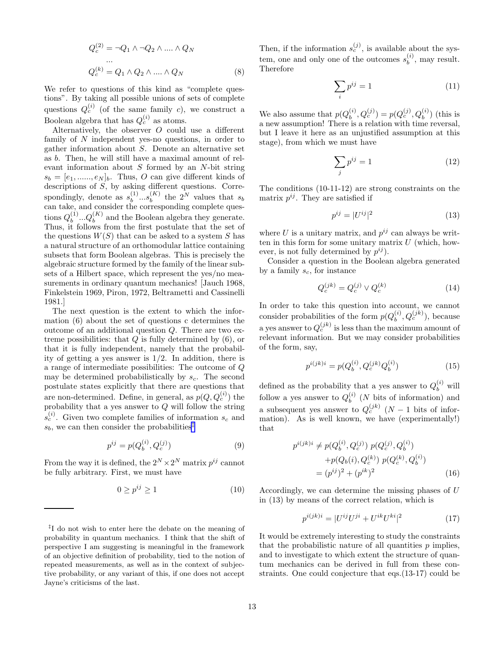$$
Q_c^{(2)} = \neg Q_1 \land \neg Q_2 \land \dots \land Q_N
$$
  
...  

$$
Q_c^{(k)} = Q_1 \land Q_2 \land \dots \land Q_N
$$
 (8)

We refer to questions of this kind as "complete questions". By taking all possible unions of sets of complete questions  $Q_c^{(i)}$  (of the same family c), we construct a Boolean algebra that has  $Q_c^{(i)}$  as atoms.

Alternatively, the observer  $O$  could use a different family of N independent yes-no questions, in order to gather information about S. Denote an alternative set as b. Then, he will still have a maximal amount of relevant information about  $S$  formed by an  $N$ -bit string  $s_b = [e_1, \dots, e_N]_b$ . Thus, O can give different kinds of descriptions of S, by asking different questions. Correspondingly, denote as  $s_b^{(1)}...s_b^{(K)}$  the  $2^N$  values that  $s_b$ can take, and consider the corresponding complete questions  $Q_b^{(1)}...Q_b^{(K)}$  and the Boolean algebra they generate. Thus, it follows from the first postulate that the set of the questions  $W(S)$  that can be asked to a system S has a natural structure of an orthomodular lattice containing subsets that form Boolean algebras. This is precisely the algebraic structure formed by the family of the linear subsets of a Hilbert space, which represent the yes/no measurements in ordinary quantum mechanics! [Jauch 1968, Finkelstein 1969, Piron, 1972, Beltrametti and Cassinelli 1981.]

The next question is the extent to which the information (6) about the set of questions c determines the outcome of an additional question Q. There are two extreme possibilities: that  $Q$  is fully determined by  $(6)$ , or that it is fully independent, namely that the probability of getting a yes answer is 1/2. In addition, there is a range of intermediate possibilities: The outcome of Q may be determined probabilistically by  $s_c$ . The second postulate states explicitly that there are questions that are non-determined. Define, in general, as  $p(Q, Q_c^{(i)})$  the probability that a yes answer to Q will follow the string  $s_c^{(i)}$ . Given two complete families of information  $s_c$  and  $s_b$ , we can then consider the probabilities<sup> $\ddagger$ </sup>

$$
p^{ij} = p(Q_b^{(i)}, Q_c^{(j)})
$$
\n(9)

From the way it is defined, the  $2^N \times 2^N$  matrix  $p^{ij}$  cannot be fully arbitrary. First, we must have

$$
0 \ge p^{ij} \ge 1 \tag{10}
$$

Then, if the information  $s_c^{(j)}$ , is available about the system, one and only one of the outcomes  $s_b^{(i)}$ , may result. Therefore

$$
\sum_{i} p^{ij} = 1\tag{11}
$$

We also assume that  $p(Q_b^{(i)}, Q_c^{(j)}) = p(Q_c^{(j)}, Q_b^{(i)})$  (this is a new assumption! There is a relation with time reversal, but I leave it here as an unjustified assumption at this stage), from which we must have

$$
\sum_{j} p^{ij} = 1 \tag{12}
$$

The conditions (10-11-12) are strong constraints on the matrix  $p^{ij}$ . They are satisfied if

$$
p^{ij} = |U^{ij}|^2 \tag{13}
$$

where U is a unitary matrix, and  $p^{ij}$  can always be written in this form for some unitary matrix  $U$  (which, however, is not fully determined by  $p^{ij}$ ).

Consider a question in the Boolean algebra generated by a family  $s_c$ , for instance

$$
Q_c^{(jk)} = Q_c^{(j)} \vee Q_c^{(k)} \tag{14}
$$

In order to take this question into account, we cannot consider probabilities of the form  $p(Q_b^{(i)}, Q_c^{(jk)})$ , because a yes answer to  $Q_c^{(jk)}$  is less than the maximum amount of relevant information. But we may consider probabilities of the form, say,

$$
p^{i(jk)i} = p(Q_b^{(i)}, Q_c^{(jk)}Q_b^{(i)})
$$
\n(15)

defined as the probability that a yes answer to  $Q_b^{(i)}$  will follow a yes answer to  $Q_b^{(i)}$  (N bits of information) and a subsequent yes answer to  $Q_c^{(jk)}$  (N – 1 bits of information). As is well known, we have (experimentally!) that

$$
p^{i(jk)i} \neq p(Q_b^{(i)}, Q_c^{(j)}) p(Q_c^{(j)}, Q_b^{(i)})
$$
  
+ $p(Q_b(i), Q_c^{(k)}) p(Q_c^{(k)}, Q_b^{(i)})$   
=  $(p^{ij})^2 + (p^{ik})^2$  (16)

Accordingly, we can determine the missing phases of U in (13) by means of the correct relation, which is

$$
p^{i(jk)i} = |U^{ij}U^{ji} + U^{ik}U^{ki}|^2
$$
 (17)

It would be extremely interesting to study the constraints that the probabilistic nature of all quantities  $p$  implies, and to investigate to which extent the structure of quantum mechanics can be derived in full from these constraints. One could conjecture that eqs.(13-17) could be

<sup>‡</sup> I do not wish to enter here the debate on the meaning of probability in quantum mechanics. I think that the shift of perspective I am suggesting is meaningful in the framework of an objective definition of probability, tied to the notion of repeated measurements, as well as in the context of subjective probability, or any variant of this, if one does not accept Jayne's criticisms of the last.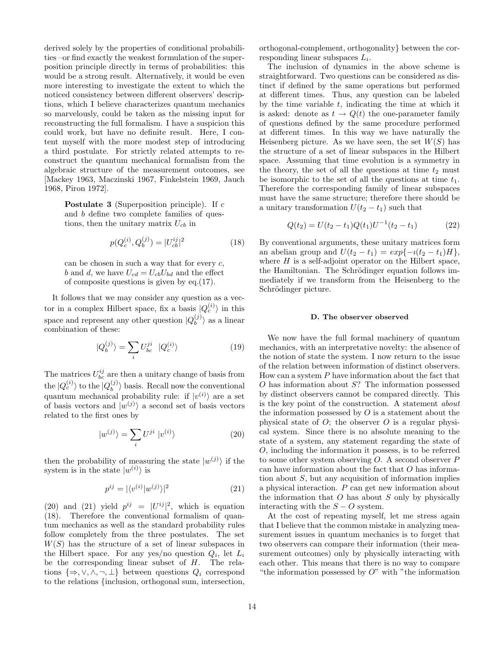derived solely by the properties of conditional probabilities –or find exactly the weakest formulation of the superposition principle directly in terms of probabilities: this would be a strong result. Alternatively, it would be even more interesting to investigate the extent to which the noticed consistency between different observers' descriptions, which I believe characterizes quantum mechanics so marvelously, could be taken as the missing input for reconstructing the full formalism. I have a suspicion this could work, but have no definite result. Here, I content myself with the more modest step of introducing a third postulate. For strictly related attempts to reconstruct the quantum mechanical formalism from the algebraic structure of the measurement outcomes, see [Mackey 1963, Maczinski 1967, Finkelstein 1969, Jauch 1968, Piron 1972].

Postulate 3 (Superposition principle). If c and b define two complete families of questions, then the unitary matrix  $U_{cb}$  in

$$
p(Q_c^{(i)}, Q_b^{(j)}) = |U_{cb}^{ij}|^2
$$
\n(18)

can be chosen in such a way that for every  $c$ , b and d, we have  $U_{cd} = U_{cb}U_{bd}$  and the effect of composite questions is given by eq.(17).

It follows that we may consider any question as a vector in a complex Hilbert space, fix a basis  $|Q_c^{(i)}\rangle$  in this space and represent any other question  $|Q_h^{(j)}|$  $\binom{U}{b}$  as a linear combination of these:

$$
|Q_b^{(j)}\rangle = \sum_i U_{bc}^{ji} |Q_c^{(i)}\rangle \tag{19}
$$

The matrices  $U_{bc}^{ij}$  are then a unitary change of basis from  ${\rm the}\: |Q^{(i)}_c\rangle \: {\rm to}\: {\rm the}\: |Q^{(j)}_b\rangle$  $\binom{U}{b}$  basis. Recall now the conventional quantum mechanical probability rule: if  $|v^{(i)}\rangle$  are a set of basis vectors and  $|w^{(j)}\rangle$  a second set of basis vectors related to the first ones by

$$
|w^{(j)}\rangle = \sum_{i} U^{ji} |v^{(i)}\rangle \tag{20}
$$

then the probability of measuring the state  $|w^{(j)}\rangle$  if the system is in the state  $|w^{(i)}\rangle$  is

$$
p^{ij} = |\langle v^{(i)} | w^{(j)} \rangle|^2 \tag{21}
$$

(20) and (21) yield  $p^{ij} = |U^{ij}|^2$ , which is equation (18). Therefore the conventional formalism of quantum mechanics as well as the standard probability rules follow completely from the three postulates. The set  $W(S)$  has the structure of a set of linear subspaces in the Hilbert space. For any yes/no question  $Q_i$ , let  $L_i$ be the corresponding linear subset of  $H$ . The relations  $\{\Rightarrow, \vee, \wedge, \neg, \perp\}$  between questions  $Q_i$  correspond to the relations {inclusion, orthogonal sum, intersection, orthogonal-complement, orthogonality} between the corresponding linear subspaces  $L_i$ .

The inclusion of dynamics in the above scheme is straightforward. Two questions can be considered as distinct if defined by the same operations but performed at different times. Thus, any question can be labeled by the time variable  $t$ , indicating the time at which it is asked: denote as  $t \to Q(t)$  the one-parameter family of questions defined by the same procedure performed at different times. In this way we have naturally the Heisenberg picture. As we have seen, the set  $W(S)$  has the structure of a set of linear subspaces in the Hilbert space. Assuming that time evolution is a symmetry in the theory, the set of all the questions at time  $t_2$  must be isomorphic to the set of all the questions at time  $t_1$ . Therefore the corresponding family of linear subspaces must have the same structure; therefore there should be a unitary transformation  $U(t_2 - t_1)$  such that

$$
Q(t_2) = U(t_2 - t_1)Q(t_1)U^{-1}(t_2 - t_1)
$$
\n(22)

By conventional arguments, these unitary matrices form an abelian group and  $U(t_2 - t_1) = exp{-i(t_2 - t_1)H}$ , where  $H$  is a self-adjoint operator on the Hilbert space, the Hamiltonian. The Schrödinger equation follows immediately if we transform from the Heisenberg to the Schrödinger picture.

#### D. The observer observed

We now have the full formal machinery of quantum mechanics, with an interpretative novelty: the absence of the notion of state the system. I now return to the issue of the relation between information of distinct observers. How can a system P have information about the fact that  $O$  has information about  $S$ ? The information possessed by distinct observers cannot be compared directly. This is the key point of the construction. A statement *about* the information possessed by  $O$  is a statement about the physical state of  $O$ ; the observer  $O$  is a regular physical system. Since there is no absolute meaning to the state of a system, any statement regarding the state of O, including the information it possess, is to be referred to some other system observing  $O$ . A second observer  $P$ can have information about the fact that O has information about  $S$ , but any acquisition of information implies a physical interaction. P can get new information about the information that  $O$  has about  $S$  only by physically interacting with the  $S - O$  system.

At the cost of repeating myself, let me stress again that I believe that the common mistake in analyzing measurement issues in quantum mechanics is to forget that two observers can compare their information (their measurement outcomes) only by physically interacting with each other. This means that there is no way to compare "the information possessed by  $O$ " with "the information"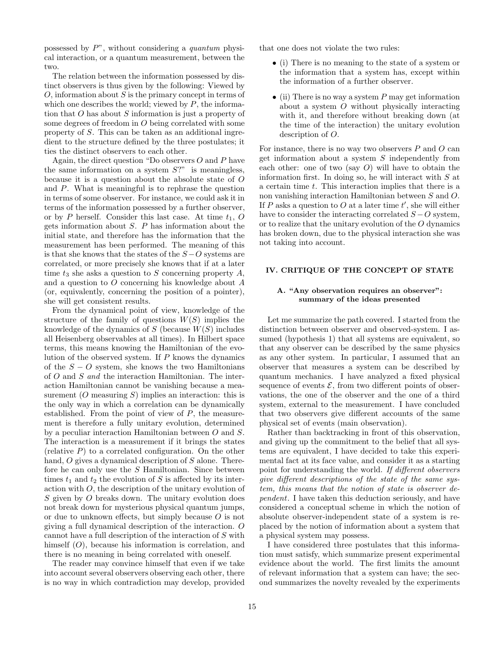possessed by P", without considering a *quantum* physical interaction, or a quantum measurement, between the two.

The relation between the information possessed by distinct observers is thus given by the following: Viewed by  $O$ , information about  $S$  is the primary concept in terms of which one describes the world; viewed by  $P$ , the information that O has about S information is just a property of some degrees of freedom in O being correlated with some property of S. This can be taken as an additional ingredient to the structure defined by the three postulates; it ties the distinct observers to each other.

Again, the direct question "Do observers  $O$  and  $P$  have the same information on a system  $S$ ?" is meaningless, because it is a question about the absolute state of O and P. What is meaningful is to rephrase the question in terms of some observer. For instance, we could ask it in terms of the information possessed by a further observer, or by P herself. Consider this last case. At time  $t_1$ , O gets information about  $S$ .  $P$  has information about the initial state, and therefore has the information that the measurement has been performed. The meaning of this is that she knows that the states of the  $S - O$  systems are correlated, or more precisely she knows that if at a later time  $t_3$  she asks a question to S concerning property A, and a question to O concerning his knowledge about A (or, equivalently, concerning the position of a pointer), she will get consistent results.

From the dynamical point of view, knowledge of the structure of the family of questions  $W(S)$  implies the knowledge of the dynamics of  $S$  (because  $W(S)$ ) includes all Heisenberg observables at all times). In Hilbert space terms, this means knowing the Hamiltonian of the evolution of the observed system. If  $P$  knows the dynamics of the  $S - O$  system, she knows the two Hamiltonians of O and S *and* the interaction Hamiltonian. The interaction Hamiltonian cannot be vanishing because a measurement  $(O$  measuring  $S)$  implies an interaction: this is the only way in which a correlation can be dynamically established. From the point of view of  $P$ , the measurement is therefore a fully unitary evolution, determined by a peculiar interaction Hamiltonian between O and S. The interaction is a measurement if it brings the states (relative  $P$ ) to a correlated configuration. On the other hand, O gives a dynamical description of S alone. Therefore he can only use the S Hamiltonian. Since between times  $t_1$  and  $t_2$  the evolution of S is affected by its interaction with  $O$ , the description of the unitary evolution of S given by O breaks down. The unitary evolution does not break down for mysterious physical quantum jumps, or due to unknown effects, but simply because  $O$  is not giving a full dynamical description of the interaction. O cannot have a full description of the interaction of S with himself  $(O)$ , because his information is correlation, and there is no meaning in being correlated with oneself.

The reader may convince himself that even if we take into account several observers observing each other, there is no way in which contradiction may develop, provided that one does not violate the two rules:

- (i) There is no meaning to the state of a system or the information that a system has, except within the information of a further observer.
- (ii) There is no way a system  $P$  may get information about a system O without physically interacting with it, and therefore without breaking down (at the time of the interaction) the unitary evolution description of O.

For instance, there is no way two observers  $P$  and  $O$  can get information about a system  $S$  independently from each other: one of two (say  $O$ ) will have to obtain the information first. In doing so, he will interact with S at a certain time  $t$ . This interaction implies that there is a non vanishing interaction Hamiltonian between S and O. If  $P$  asks a question to  $O$  at a later time  $t'$ , she will either have to consider the interacting correlated  $S - O$  system, or to realize that the unitary evolution of the  $O$  dynamics has broken down, due to the physical interaction she was not taking into account.

# IV. CRITIQUE OF THE CONCEPT OF STATE

# A. "Any observation requires an observer": summary of the ideas presented

Let me summarize the path covered. I started from the distinction between observer and observed-system. I assumed (hypothesis 1) that all systems are equivalent, so that any observer can be described by the same physics as any other system. In particular, I assumed that an observer that measures a system can be described by quantum mechanics. I have analyzed a fixed physical sequence of events  $\mathcal{E}$ , from two different points of observations, the one of the observer and the one of a third system, external to the measurement. I have concluded that two observers give different accounts of the same physical set of events (main observation).

Rather than backtracking in front of this observation, and giving up the commitment to the belief that all systems are equivalent, I have decided to take this experimental fact at its face value, and consider it as a starting point for understanding the world. *If different observers give different descriptions of the state of the same system, this means that the notion of state is observer dependent*. I have taken this deduction seriously, and have considered a conceptual scheme in which the notion of absolute observer-independent state of a system is replaced by the notion of information about a system that a physical system may possess.

I have considered three postulates that this information must satisfy, which summarize present experimental evidence about the world. The first limits the amount of relevant information that a system can have; the second summarizes the novelty revealed by the experiments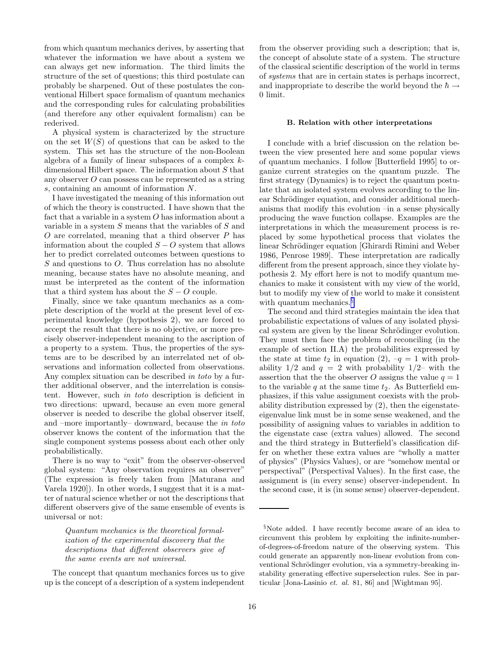from which quantum mechanics derives, by asserting that whatever the information we have about a system we can always get new information. The third limits the structure of the set of questions; this third postulate can probably be sharpened. Out of these postulates the conventional Hilbert space formalism of quantum mechanics and the corresponding rules for calculating probabilities (and therefore any other equivalent formalism) can be rederived.

A physical system is characterized by the structure on the set  $W(S)$  of questions that can be asked to the system. This set has the structure of the non-Boolean algebra of a family of linear subspaces of a complex kdimensional Hilbert space. The information about S that any observer  $O$  can possess can be represented as a string s, containing an amount of information N.

I have investigated the meaning of this information out of which the theory is constructed. I have shown that the fact that a variable in a system O has information about a variable in a system S means that the variables of S and O are correlated, meaning that a third observer P has information about the coupled  $S - O$  system that allows her to predict correlated outcomes between questions to S and questions to O. Thus correlation has no absolute meaning, because states have no absolute meaning, and must be interpreted as the content of the information that a third system has about the  $S - O$  couple.

Finally, since we take quantum mechanics as a complete description of the world at the present level of experimental knowledge (hypothesis 2), we are forced to accept the result that there is no objective, or more precisely observer-independent meaning to the ascription of a property to a system. Thus, the properties of the systems are to be described by an interrelated net of observations and information collected from observations. Any complex situation can be described *in toto* by a further additional observer, and the interrelation is consistent. However, such *in toto* description is deficient in two directions: upward, because an even more general observer is needed to describe the global observer itself, and –more importantly– downward, because the *in toto* observer knows the content of the information that the single component systems possess about each other only probabilistically.

There is no way to "exit" from the observer-observed global system: "Any observation requires an observer" (The expression is freely taken from [Maturana and Varela 1920]). In other words, I suggest that it is a matter of natural science whether or not the descriptions that different observers give of the same ensemble of events is universal or not:

> *Quantum mechanics is the theoretical formalization of the experimental discovery that the descriptions that different observers give of the same events are not universal.*

The concept that quantum mechanics forces us to give up is the concept of a description of a system independent

from the observer providing such a description; that is, the concept of absolute state of a system. The structure of the classical scientific description of the world in terms of *systems* that are in certain states is perhaps incorrect, and inappropriate to describe the world beyond the  $\hbar \rightarrow$ 0 limit.

#### B. Relation with other interpretations

I conclude with a brief discussion on the relation between the view presented here and some popular views of quantum mechanics. I follow [Butterfield 1995] to organize current strategies on the quantum puzzle. The first strategy (Dynamics) is to reject the quantum postulate that an isolated system evolves according to the linear Schrödinger equation, and consider additional mechanisms that modify this evolution –in a sense physically producing the wave function collapse. Examples are the interpretations in which the measurement process is replaced by some hypothetical process that violates the linear Schrödinger equation [Ghirardi Rimini and Weber 1986, Penrose 1989]. These interpretation are radically different from the present approach, since they violate hypothesis 2. My effort here is not to modify quantum mechanics to make it consistent with my view of the world, but to modify my view of the world to make it consistent with quantum mechanics.<sup>§</sup>

The second and third strategies maintain the idea that probabilistic expectations of values of any isolated physical system are given by the linear Schrödinger evolution. They must then face the problem of reconciling (in the example of section II.A) the probabilities expressed by the state at time  $t_2$  in equation (2),  $-q=1$  with probability  $1/2$  and  $q = 2$  with probability  $1/2$ – with the assertion that the the observer O assigns the value  $q = 1$ to the variable q at the same time  $t_2$ . As Butterfield emphasizes, if this value assignment coexists with the probability distribution expressed by (2), then the eigenstateeigenvalue link must be in some sense weakened, and the possibility of assigning values to variables in addition to the eigenstate case (extra values) allowed. The second and the third strategy in Butterfield's classification differ on whether these extra values are "wholly a matter of physics" (Physics Values), or are "somehow mental or perspectival" (Perspectival Values). In the first case, the assignment is (in every sense) observer-independent. In the second case, it is (in some sense) observer-dependent.

<sup>§</sup>Note added. I have recently become aware of an idea to circumvent this problem by exploiting the infinite-numberof-degrees-of-freedom nature of the observing system. This could generate an apparently non-linear evolution from conventional Schrödinger evolution, via a symmetry-breaking instability generating effective superselection rules. See in particular [Jona-Lasinio et. al. 81, 86] and [Wightman 95].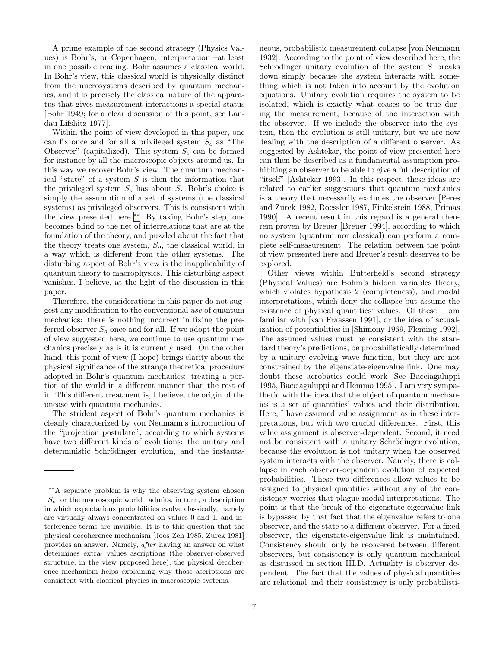A prime example of the second strategy (Physics Values) is Bohr's, or Copenhagen, interpretation –at least in one possible reading. Bohr assumes a classical world. In Bohr's view, this classical world is physically distinct from the microsystems described by quantum mechanics, and it is precisely the classical nature of the apparatus that gives measurement interactions a special status [Bohr 1949; for a clear discussion of this point, see Landau Lifshitz 1977].

Within the point of view developed in this paper, one can fix once and for all a privileged system  $S_o$  as "The Observer" (capitalized). This system  $S<sub>o</sub>$  can be formed for instance by all the macroscopic objects around us. In this way we recover Bohr's view. The quantum mechanical "state" of a system  $S$  is then the information that the privileged system  $S_o$  has about S. Bohr's choice is simply the assumption of a set of systems (the classical systems) as privileged observers. This is consistent with the view presented here.∗∗ By taking Bohr's step, one becomes blind to the net of interrelations that are at the foundation of the theory, and puzzled about the fact that the theory treats one system,  $S<sub>o</sub>$ , the classical world, in a way which is different from the other systems. The disturbing aspect of Bohr's view is the inapplicability of quantum theory to macrophysics. This disturbing aspect vanishes, I believe, at the light of the discussion in this paper.

Therefore, the considerations in this paper do not suggest any modification to the conventional *use* of quantum mechanics: there is nothing incorrect in fixing the preferred observer  $S<sub>o</sub>$  once and for all. If we adopt the point of view suggested here, we continue to use quantum mechanics precisely as is it is currently used. On the other hand, this point of view (I hope) brings clarity about the physical significance of the strange theoretical procedure adopted in Bohr's quantum mechanics: treating a portion of the world in a different manner than the rest of it. This different treatment is, I believe, the origin of the unease with quantum mechanics.

The strident aspect of Bohr's quantum mechanics is cleanly characterized by von Neumann's introduction of the "projection postulate", according to which systems have two different kinds of evolutions: the unitary and deterministic Schrödinger evolution, and the instantaneous, probabilistic measurement collapse [von Neumann 1932]. According to the point of view described here, the Schrödinger unitary evolution of the system  $S$  breaks down simply because the system interacts with something which is not taken into account by the evolution equations. Unitary evolution requires the system to be isolated, which is exactly what ceases to be true during the measurement, because of the interaction with the observer. If we include the observer into the system, then the evolution is still unitary, but we are now dealing with the description of a different observer. As suggested by Ashtekar, the point of view presented here can then be described as a fundamental assumption prohibiting an observer to be able to give a full description of "itself" [Ashtekar 1993]. In this respect, these ideas are related to earlier suggestions that quantum mechanics is a theory that necessarily excludes the observer [Peres and Zurek 1982, Roessler 1987, Finkelstein 1988, Primas 1990]. A recent result in this regard is a general theorem proven by Breuer [Breuer 1994], according to which no system (quantum nor classical) can perform a complete self-measurement. The relation between the point of view presented here and Breuer's result deserves to be explored.

Other views within Butterfield's second strategy (Physical Values) are Bohm's hidden variables theory, which violates hypothesis 2 (completeness), and modal interpretations, which deny the collapse but assume the existence of physical quantities' values. Of these, I am familiar with [van Fraassen 1991], or the idea of actualization of potentialities in [Shimony 1969, Fleming 1992]. The assumed values must be consistent with the standard theory's predictions, be probabilistically determined by a unitary evolving wave function, but they are not constrained by the eigenstate-eigenvalue link. One may doubt these acrobatics could work [See Bacciagaluppi 1995, Bacciagaluppi and Hemmo 1995]. I am very sympathetic with the idea that the object of quantum mechanics is a set of quantities' values and their distribution. Here, I have assumed value assignment as in these interpretations, but with two crucial differences. First, this value assignment is observer-dependent. Second, it need not be consistent with a unitary Schrödinger evolution, because the evolution is not unitary when the observed system interacts with the observer. Namely, there is collapse in each observer-dependent evolution of expected probabilities. These two differences allow values to be assigned to physical quantities without any of the consistency worries that plague modal interpretations. The point is that the break of the eigenstate-eigenvalue link is bypassed by that fact that the eigenvalue refers to one observer, and the state to a different observer. For a fixed observer, the eigenstate-eigenvalue link is maintained. Consistency should only be recovered between different observers, but consistency is only quantum mechanical as discussed in section III.D. Actuality is observer dependent. The fact that the values of physical quantities are relational and their consistency is only probabilisti-

<sup>∗∗</sup>A separate problem is why the observing system chosen  $-S<sub>o</sub>$ , or the macroscopic world– admits, in turn, a description in which expectations probabilities evolve classically, namely are virtually always concentrated on values 0 and 1, and interference terms are invisible. It is to this question that the physical decoherence mechanism [Joos Zeh 1985, Zurek 1981] provides an answer. Namely, after having an answer on what determines extra- values ascriptions (the observer-observed structure, in the view proposed here), the physical decoherence mechanism helps explaining why those ascriptions are consistent with classical physics in macroscopic systems.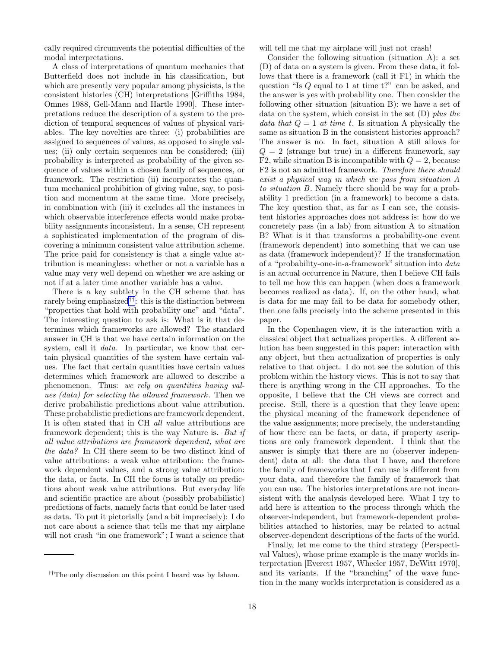cally required circumvents the potential difficulties of the modal interpretations.

A class of interpretations of quantum mechanics that Butterfield does not include in his classification, but which are presently very popular among physicists, is the consistent histories (CH) interpretations [Griffiths 1984, Omnes 1988, Gell-Mann and Hartle 1990]. These interpretations reduce the description of a system to the prediction of temporal sequences of values of physical variables. The key novelties are three: (i) probabilities are assigned to sequences of values, as opposed to single values; (ii) only certain sequences can be considered; (iii) probability is interpreted as probability of the given sequence of values within a chosen family of sequences, or framework. The restriction (ii) incorporates the quantum mechanical prohibition of giving value, say, to position and momentum at the same time. More precisely, in combination with (iii) it excludes all the instances in which observable interference effects would make probability assignments inconsistent. In a sense, CH represent a sophisticated implementation of the program of discovering a minimum consistent value attribution scheme. The price paid for consistency is that a single value attribution is meaningless: whether or not a variable has a value may very well depend on whether we are asking or not if at a later time another variable has a value.

There is a key subtlety in the CH scheme that has rarely being emphasized††: this is the distinction between "properties that hold with probability one" and "data". The interesting question to ask is: What is it that determines which frameworks are allowed? The standard answer in CH is that we have certain information on the system, call it *data*. In particular, we know that certain physical quantities of the system have certain values. The fact that certain quantities have certain values determines which framework are allowed to describe a phenomenon. Thus: *we rely on quantities having values (data) for selecting the allowed framework*. Then we derive probabilistic predictions about value attribution. These probabilistic predictions are framework dependent. It is often stated that in CH *all* value attributions are framework dependent; this is the way Nature is. *But if all value attributions are framework dependent, what are the data?* In CH there seem to be two distinct kind of value attributions: a weak value attribution: the framework dependent values, and a strong value attribution: the data, or facts. In CH the focus is totally on predictions about weak value attributions. But everyday life and scientific practice are about (possibly probabilistic) predictions of facts, namely facts that could be later used as data. To put it pictorially (and a bit imprecisely): I do not care about a science that tells me that my airplane will not crash "in one framework"; I want a science that

will tell me that my airplane will just not crash!

Consider the following situation (situation A): a set (D) of data on a system is given. From these data, it follows that there is a framework (call it F1) in which the question "Is Q equal to 1 at time t?" can be asked, and the answer is yes with probability one. Then consider the following other situation (situation B): we have a set of data on the system, which consist in the set (D) *plus the data that*  $Q = 1$  *at time t*. Is situation A physically the same as situation B in the consistent histories approach? The answer is no. In fact, situation A still allows for  $Q = 2$  (strange but true) in a different framework, say F2, while situation B is incompatible with  $Q = 2$ , because F2 is not an admitted framework. *Therefore there should exist a physical way in which we pass from situation A to situation B*. Namely there should be way for a probability 1 prediction (in a framework) to become a data. The key question that, as far as I can see, the consistent histories approaches does not address is: how do we concretely pass (in a lab) from situation A to situation B? What is it that transforms a probability-one event (framework dependent) into something that we can use as data (framework independent)? If the transformation of a "probability-one-in-a-framework" situation into *data* is an actual occurrence in Nature, then I believe CH fails to tell me how this can happen (when does a framework becomes realized as data). If, on the other hand, what is data for me may fail to be data for somebody other, then one falls precisely into the scheme presented in this paper.

In the Copenhagen view, it is the interaction with a classical object that actualizes properties. A different solution has been suggested in this paper: interaction with any object, but then actualization of properties is only relative to that object. I do not see the solution of this problem within the history views. This is not to say that there is anything wrong in the CH approaches. To the opposite, I believe that the CH views are correct and precise. Still, there is a question that they leave open: the physical meaning of the framework dependence of the value assignments; more precisely, the understanding of how there can be facts, or data, if property ascriptions are only framework dependent. I think that the answer is simply that there are no (observer independent) data at all: the data that I have, and therefore the family of frameworks that I can use is different from your data, and therefore the family of framework that you can use. The histories interpretations are not inconsistent with the analysis developed here. What I try to add here is attention to the process through which the observer-independent, but framework-dependent probabilities attached to histories, may be related to actual observer-dependent descriptions of the facts of the world.

Finally, let me come to the third strategy (Perspectival Values), whose prime example is the many worlds interpretation [Everett 1957, Wheeler 1957, DeWitt 1970], and its variants. If the "branching" of the wave function in the many worlds interpretation is considered as a

<sup>††</sup>The only discussion on this point I heard was by Isham.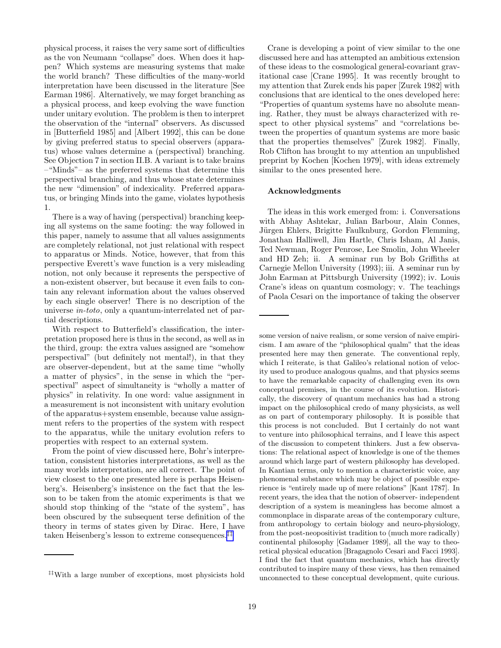physical process, it raises the very same sort of difficulties as the von Neumann "collapse" does. When does it happen? Which systems are measuring systems that make the world branch? These difficulties of the many-world interpretation have been discussed in the literature [See Earman 1986]. Alternatively, we may forget branching as a physical process, and keep evolving the wave function under unitary evolution. The problem is then to interpret the observation of the "internal" observers. As discussed in [Butterfield 1985] and [Albert 1992], this can be done by giving preferred status to special observers (apparatus) whose values determine a (perspectival) branching. See Objection 7 in section II.B. A variant is to take brains –"Minds"– as the preferred systems that determine this perspectival branching, and thus whose state determines the new "dimension" of indexicality. Preferred apparatus, or bringing Minds into the game, violates hypothesis 1.

There is a way of having (perspectival) branching keeping all systems on the same footing: the way followed in this paper, namely to assume that all values assignments are completely relational, not just relational with respect to apparatus or Minds. Notice, however, that from this perspective Everett's wave function is a very misleading notion, not only because it represents the perspective of a non-existent observer, but because it even fails to contain any relevant information about the values observed by each single observer! There is no description of the universe *in-toto*, only a quantum-interrelated net of partial descriptions.

With respect to Butterfield's classification, the interpretation proposed here is thus in the second, as well as in the third, group: the extra values assigned are "somehow perspectival" (but definitely not mental!), in that they are observer-dependent, but at the same time "wholly a matter of physics", in the sense in which the "perspectival" aspect of simultaneity is "wholly a matter of physics" in relativity. In one word: value assignment in a measurement is not inconsistent with unitary evolution of the apparatus+system ensemble, because value assignment refers to the properties of the system with respect to the apparatus, while the unitary evolution refers to properties with respect to an external system.

From the point of view discussed here, Bohr's interpretation, consistent histories interpretations, as well as the many worlds interpretation, are all correct. The point of view closest to the one presented here is perhaps Heisenberg's. Heisenberg's insistence on the fact that the lesson to be taken from the atomic experiments is that we should stop thinking of the "state of the system", has been obscured by the subsequent terse definition of the theory in terms of states given by Dirac. Here, I have taken Heisenberg's lesson to extreme consequences.‡‡

Crane is developing a point of view similar to the one discussed here and has attempted an ambitious extension of these ideas to the cosmological general-covariant gravitational case [Crane 1995]. It was recently brought to my attention that Zurek ends his paper [Zurek 1982] with conclusions that are identical to the ones developed here: "Properties of quantum systems have no absolute meaning. Rather, they must be always characterized with respect to other physical systems" and "correlations between the properties of quantum systems are more basic that the properties themselves" [Zurek 1982]. Finally, Rob Clifton has brought to my attention an unpublished preprint by Kochen [Kochen 1979], with ideas extremely similar to the ones presented here.

### Acknowledgments

The ideas in this work emerged from: i. Conversations with Abhay Ashtekar, Julian Barbour, Alain Connes, Jürgen Ehlers, Brigitte Faulknburg, Gordon Flemming, Jonathan Halliwell, Jim Hartle, Chris Isham, Al Janis, Ted Newman, Roger Penrose, Lee Smolin, John Wheeler and HD Zeh; ii. A seminar run by Bob Griffiths at Carnegie Mellon University (1993); iii. A seminar run by John Earman at Pittsburgh University (1992); iv. Louis Crane's ideas on quantum cosmology; v. The teachings of Paola Cesari on the importance of taking the observer

some version of naive realism, or some version of naive empiricism. I am aware of the "philosophical qualm" that the ideas presented here may then generate. The conventional reply, which I reiterate, is that Galileo's relational notion of velocity used to produce analogous qualms, and that physics seems to have the remarkable capacity of challenging even its own conceptual premises, in the course of its evolution. Historically, the discovery of quantum mechanics has had a strong impact on the philosophical credo of many physicists, as well as on part of contemporary philosophy. It is possible that this process is not concluded. But I certainly do not want to venture into philosophical terrains, and I leave this aspect of the discussion to competent thinkers. Just a few observations: The relational aspect of knowledge is one of the themes around which large part of western philosophy has developed. In Kantian terms, only to mention a characteristic voice, any phenomenal substance which may be object of possible experience is "entirely made up of mere relations" [Kant 1787]. In recent years, the idea that the notion of observer- independent description of a system is meaningless has become almost a commonplace in disparate areas of the contemporary culture, from anthropology to certain biology and neuro-physiology, from the post-neopositivist tradition to (much more radically) continental philosophy [Gadamer 1989], all the way to theoretical physical education [Bragagnolo Cesari and Facci 1993]. I find the fact that quantum mechanics, which has directly contributed to inspire many of these views, has then remained unconnected to these conceptual development, quite curious.

<sup>‡‡</sup>With a large number of exceptions, most physicists hold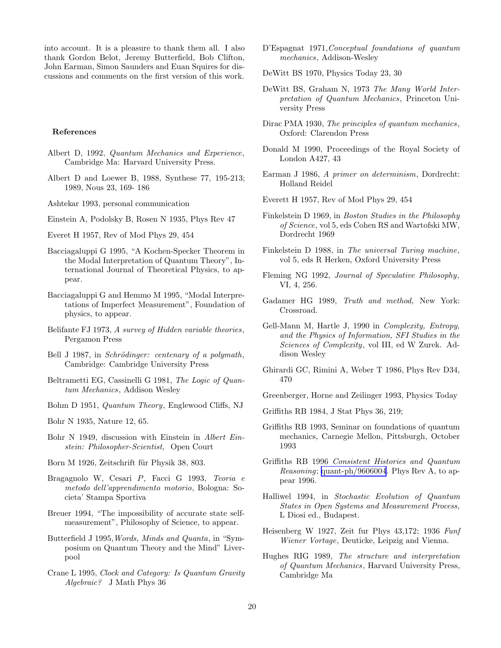into account. It is a pleasure to thank them all. I also thank Gordon Belot, Jeremy Butterfield, Bob Clifton, John Earman, Simon Saunders and Euan Squires for discussions and comments on the first version of this work.

# References

- Albert D, 1992, *Quantum Mechanics and Experience*, Cambridge Ma: Harvard University Press.
- Albert D and Loewer B, 1988, Synthese 77, 195-213; 1989, Nous 23, 169- 186
- Ashtekar 1993, personal communication
- Einstein A, Podolsky B, Rosen N 1935, Phys Rev 47
- Everet H 1957, Rev of Mod Phys 29, 454
- Bacciagaluppi G 1995, "A Kochen-Specker Theorem in the Modal Interpretation of Quantum Theory", International Journal of Theoretical Physics, to appear.
- Bacciagaluppi G and Hemmo M 1995, "Modal Interpretations of Imperfect Measurement", Foundation of physics, to appear.
- Belifante FJ 1973, *A survey of Hidden variable theories*, Pergamon Press
- Bell J 1987, in *Schrödinger: centenary of a polymath*, Cambridge: Cambridge University Press
- Beltrametti EG, Cassinelli G 1981, *The Logic of Quantum Mechanics*, Addison Wesley
- Bohm D 1951, *Quantum Theory*, Englewood Cliffs, NJ
- Bohr N 1935, Nature 12, 65.
- Bohr N 1949, discussion with Einstein in *Albert Einstein: Philosopher-Scientist,* Open Court
- Born M 1926, Zeitschrift für Physik 38, 803.
- Bragagnolo W, Cesari P, Facci G 1993, *Teoria e metodo dell'apprendimento motorio*, Bologna: Societa' Stampa Sportiva
- Breuer 1994, "The impossibility of accurate state selfmeasurement", Philosophy of Science, to appear.
- Butterfield J 1995,*Words, Minds and Quanta*, in "Symposium on Quantum Theory and the Mind" Liverpool
- Crane L 1995, *Clock and Category: Is Quantum Gravity Algebraic?* J Math Phys 36
- D'Espagnat 1971,*Conceptual foundations of quantum mechanics*, Addison-Wesley
- DeWitt BS 1970, Physics Today 23, 30
- DeWitt BS, Graham N, 1973 *The Many World Interpretation of Quantum Mechanics*, Princeton University Press
- Dirac PMA 1930, *The principles of quantum mechanics*, Oxford: Clarendon Press
- Donald M 1990, Proceedings of the Royal Society of London A427, 43
- Earman J 1986, *A primer on determinism*, Dordrecht: Holland Reidel
- Everett H 1957, Rev of Mod Phys 29, 454
- Finkelstein D 1969, in *Boston Studies in the Philosophy of Science*, vol 5, eds Cohen RS and Wartofski MW, Dordrecht 1969
- Finkelstein D 1988, in *The universal Turing machine*, vol 5, eds R Herken, Oxford University Press
- Fleming NG 1992, *Journal of Speculative Philosophy*, VI, 4, 256.
- Gadamer HG 1989, *Truth and method,* New York: Crossroad.
- Gell-Mann M, Hartle J, 1990 in *Complexity, Entropy, and the Physics of Information, SFI Studies in the Sciences of Complexity*, vol III, ed W Zurek. Addison Wesley
- Ghirardi GC, Rimini A, Weber T 1986, Phys Rev D34, 470
- Greenberger, Horne and Zeilinger 1993, Physics Today
- Griffiths RB 1984, J Stat Phys 36, 219;
- Griffiths RB 1993, Seminar on foundations of quantum mechanics, Carnegie Mellon, Pittsburgh, October 1993
- Griffiths RB 1996 *Consistent Histories and Quantum Reasoning*; [quant-ph/9606004](http://arXiv.org/abs/quant-ph/9606004). Phys Rev A, to appear 1996.
- Halliwel 1994, in *Stochastic Evolution of Quantum States in Open Systems and Measurement Process,* L Diosi ed., Budapest.
- Heisenberg W 1927, Zeit fur Phys 43,172; 1936 *Funf Wiener Vortage*, Deuticke, Leipzig and Vienna.
- Hughes RIG 1989, *The structure and interpretation of Quantum Mechanics*, Harvard University Press, Cambridge Ma